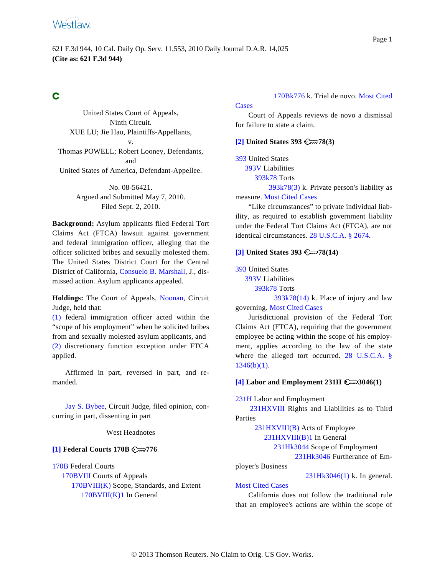# **Westlaw**

## Ć

<span id="page-0-1"></span>United States Court of Appeals, Ninth Circuit. XUE LU; Jie Hao, Plaintiffs-Appellants, v. Thomas POWELL; Robert Looney, Defendants, and United States of America, Defendant-Appellee.

> No. 08-56421. Argued and Submitted May 7, 2010. Filed Sept. 2, 2010.

<span id="page-0-2"></span>**Background:** Asylum applicants filed Federal Tort Claims Act (FTCA) lawsuit against government and federal immigration officer, alleging that the officer solicited bribes and sexually molested them. The United States District Court for the Central District of California, [Consuelo B. Marshal](http://www.westlaw.com/Find/Default.wl?rs=dfa1.0&vr=2.0&DB=PROFILER-WLD&DocName=0259303101&FindType=h)l, J., dismissed action. Asylum applicants appealed.

**Holdings:** The Court of Appeals, [Noonan](http://www.westlaw.com/Find/Default.wl?rs=dfa1.0&vr=2.0&DB=PROFILER-WLD&DocName=0229271801&FindType=h), Circuit Judge, held that:

[\(1\)](#page-6-0) federal immigration officer acted within the "scope of his employment" when he solicited bribes from and sexually molested asylum applicants, and [\(2\)](#page-7-0) discretionary function exception under FTCA applied.

<span id="page-0-3"></span>Affirmed in part, reversed in part, and remanded.

[Jay S. Bybee](http://www.westlaw.com/Find/Default.wl?rs=dfa1.0&vr=2.0&DB=PROFILER-WLD&DocName=0331021501&FindType=h), Circuit Judge, filed opinion, concurring in part, dissenting in part

West Headnotes

### <span id="page-0-0"></span>**[\[1\]](#page-4-0) Federal Courts 170B 776**

[170B](http://www.westlaw.com/KeyNumber/Default.wl?rs=dfa1.0&vr=2.0&CMD=KEY&DocName=170B) Federal Courts [170BVIII](http://www.westlaw.com/KeyNumber/Default.wl?rs=dfa1.0&vr=2.0&CMD=KEY&DocName=170BVIII) Courts of Appeals 170B[VIII\(K\)](http://www.westlaw.com/KeyNumber/Default.wl?rs=dfa1.0&vr=2.0&CMD=KEY&DocName=170BVIII%28K%29) Scope, Standards, and Extent [170BVIII\(K\)1](http://www.westlaw.com/KeyNumber/Default.wl?rs=dfa1.0&vr=2.0&CMD=KEY&DocName=170BVIII%28K%291) In General

170Bk776 k[. Trial de n](http://www.westlaw.com/KeyNumber/Default.wl?rs=dfa1.0&vr=2.0&CMD=KEY&DocName=170Bk776)ovo. [Most Cited](http://www.westlaw.com/Digest/Default.wl?rs=dfa1.0&vr=2.0&CMD=MCC&DocName=170Bk776)

Court of Appeals reviews de novo a dismissal for failure to state a claim.

### **[\[2\]](#page-4-1) United States 393**  $\mathbb{C}$  78(3)

[393](http://www.westlaw.com/KeyNumber/Default.wl?rs=dfa1.0&vr=2.0&CMD=KEY&DocName=393) United States

**[Cases](http://www.westlaw.com/Digest/Default.wl?rs=dfa1.0&vr=2.0&CMD=MCC&DocName=170Bk776)** 

[393V](http://www.westlaw.com/KeyNumber/Default.wl?rs=dfa1.0&vr=2.0&CMD=KEY&DocName=393V) Liabilities

393k78 [Torts](http://www.westlaw.com/KeyNumber/Default.wl?rs=dfa1.0&vr=2.0&CMD=KEY&DocName=393k78)

 $393k78(3)$  k. Private person's liability as measure. [Most Cited Cases](http://www.westlaw.com/Digest/Default.wl?rs=dfa1.0&vr=2.0&CMD=MCC&DocName=393k78%283%29)

"Like circumstances" to private individual liability, as required to establish government liability under the Federal Tort Claims Act (FTCA), are not identical circumstances. [28 U.S.C.A. § 2674](http://www.westlaw.com/Find/Default.wl?rs=dfa1.0&vr=2.0&DB=1000546&DocName=28USCAS2674&FindType=L).

### **[\[3\]](#page-4-2) United States 393 78(14)**

[393](http://www.westlaw.com/KeyNumber/Default.wl?rs=dfa1.0&vr=2.0&CMD=KEY&DocName=393) United States

[393V](http://www.westlaw.com/KeyNumber/Default.wl?rs=dfa1.0&vr=2.0&CMD=KEY&DocName=393V) Liabilities

393k78 [Torts](http://www.westlaw.com/KeyNumber/Default.wl?rs=dfa1.0&vr=2.0&CMD=KEY&DocName=393k78)

 $393k78(14)$  k. Place of injury and law governing. [Most Cited Cases](http://www.westlaw.com/Digest/Default.wl?rs=dfa1.0&vr=2.0&CMD=MCC&DocName=393k78%2814%29)

Jurisdictional provision of the Federal Tort Claims Act (FTCA), requiring that the government employee be acting within the scope of his employment, applies according to the law of the state where the alleged tort occurred. [28 U.S.C.A.](http://www.westlaw.com/Find/Default.wl?rs=dfa1.0&vr=2.0&DB=1000546&DocName=28USCAS1346&FindType=L&ReferencePositionType=T&ReferencePosition=SP_3fed000053a85) §  $1346(b)(1)$ .

### **[\[4\]](#page-5-0) Labor and Employment 231H 3046(1)**

[231H](http://www.westlaw.com/KeyNumber/Default.wl?rs=dfa1.0&vr=2.0&CMD=KEY&DocName=231H) Labor and Employment

[231HXVIII](http://www.westlaw.com/KeyNumber/Default.wl?rs=dfa1.0&vr=2.0&CMD=KEY&DocName=231HXVIII) Rights and Liabilities as to Third Parties

231H[XVIII\(B\)](http://www.westlaw.com/KeyNumber/Default.wl?rs=dfa1.0&vr=2.0&CMD=KEY&DocName=231HXVIII%28B%29) Acts of Employee

[231HXVIII\(B\)1](http://www.westlaw.com/KeyNumber/Default.wl?rs=dfa1.0&vr=2.0&CMD=KEY&DocName=231HXVIII%28B%291) In General

231Hk3044 [Scope of Em](http://www.westlaw.com/KeyNumber/Default.wl?rs=dfa1.0&vr=2.0&CMD=KEY&DocName=231Hk3044)ployment

[231Hk3046](http://www.westlaw.com/KeyNumber/Default.wl?rs=dfa1.0&vr=2.0&CMD=KEY&DocName=231Hk3046) Furtherance of Em-

ployer's Business

231Hk3046(1) k. I[n general.](http://www.westlaw.com/KeyNumber/Default.wl?rs=dfa1.0&vr=2.0&CMD=KEY&DocName=231Hk3046%281%29)

### [Most Cited Cases](http://www.westlaw.com/Digest/Default.wl?rs=dfa1.0&vr=2.0&CMD=MCC&DocName=231Hk3046%281%29)

California does not follow the traditional rule that an employee's actions are within the scope of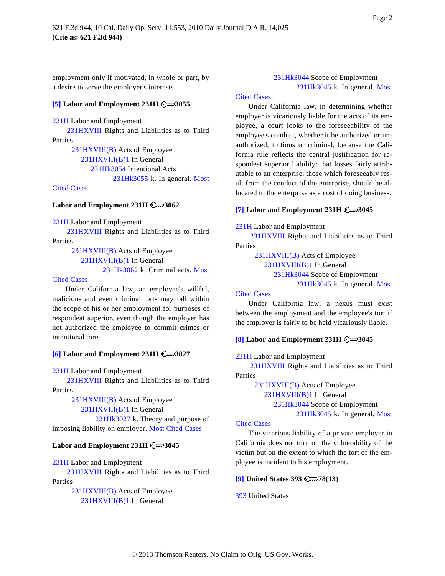employment only if motivated, in whole or part, by a desire to serve the employer's interests.

### <span id="page-1-0"></span>**[\[5\]](#page-5-0) Labor and Employment 231H 3055**

[231H](http://www.westlaw.com/KeyNumber/Default.wl?rs=dfa1.0&vr=2.0&CMD=KEY&DocName=231H) Labor and Employment

[231HXVIII](http://www.westlaw.com/KeyNumber/Default.wl?rs=dfa1.0&vr=2.0&CMD=KEY&DocName=231HXVIII) Rights and Liabilities as to Third Parties

> 231H[XVIII\(B\)](http://www.westlaw.com/KeyNumber/Default.wl?rs=dfa1.0&vr=2.0&CMD=KEY&DocName=231HXVIII%28B%29) Acts of Employee [231HXVIII\(B\)1](http://www.westlaw.com/KeyNumber/Default.wl?rs=dfa1.0&vr=2.0&CMD=KEY&DocName=231HXVIII%28B%291) In General 231Hk3054 [Intentional A](http://www.westlaw.com/KeyNumber/Default.wl?rs=dfa1.0&vr=2.0&CMD=KEY&DocName=231Hk3054)cts [231Hk3055](http://www.westlaw.com/KeyNumber/Default.wl?rs=dfa1.0&vr=2.0&CMD=KEY&DocName=231Hk3055) k. In general. [Most](http://www.westlaw.com/Digest/Default.wl?rs=dfa1.0&vr=2.0&CMD=MCC&DocName=231Hk3055)

### [Cited Cases](http://www.westlaw.com/Digest/Default.wl?rs=dfa1.0&vr=2.0&CMD=MCC&DocName=231Hk3055)

### <span id="page-1-2"></span>**Labor and Employment 231H 3062**

[231H](http://www.westlaw.com/KeyNumber/Default.wl?rs=dfa1.0&vr=2.0&CMD=KEY&DocName=231H) Labor and Employment

[231HXVIII](http://www.westlaw.com/KeyNumber/Default.wl?rs=dfa1.0&vr=2.0&CMD=KEY&DocName=231HXVIII) Rights and Liabilities as to Third Parties

> 231H[XVIII\(B\)](http://www.westlaw.com/KeyNumber/Default.wl?rs=dfa1.0&vr=2.0&CMD=KEY&DocName=231HXVIII%28B%29) Acts of Employee [231HXVIII\(B\)1](http://www.westlaw.com/KeyNumber/Default.wl?rs=dfa1.0&vr=2.0&CMD=KEY&DocName=231HXVIII%28B%291) In General 231Hk3062 [k. Criminal](http://www.westlaw.com/KeyNumber/Default.wl?rs=dfa1.0&vr=2.0&CMD=KEY&DocName=231Hk3062) acts. [Most](http://www.westlaw.com/Digest/Default.wl?rs=dfa1.0&vr=2.0&CMD=MCC&DocName=231Hk3062)

### [Cited Cases](http://www.westlaw.com/Digest/Default.wl?rs=dfa1.0&vr=2.0&CMD=MCC&DocName=231Hk3062)

Under California law, an employee's willful, malicious and even criminal torts may fall within the scope of his or her employment for purposes of respondeat superior, even though the employer has not authorized the employee to commit crimes or intentional torts.

### <span id="page-1-3"></span><span id="page-1-1"></span>**[\[6\]](#page-5-1) Labor and Employment 231H 3027**

[231H](http://www.westlaw.com/KeyNumber/Default.wl?rs=dfa1.0&vr=2.0&CMD=KEY&DocName=231H) Labor and Employment

[231HXVIII](http://www.westlaw.com/KeyNumber/Default.wl?rs=dfa1.0&vr=2.0&CMD=KEY&DocName=231HXVIII) Rights and Liabilities as to Third Parties

> 231H[XVIII\(B\)](http://www.westlaw.com/KeyNumber/Default.wl?rs=dfa1.0&vr=2.0&CMD=KEY&DocName=231HXVIII%28B%29) Acts of Employee [231HXVIII\(B\)1](http://www.westlaw.com/KeyNumber/Default.wl?rs=dfa1.0&vr=2.0&CMD=KEY&DocName=231HXVIII%28B%291) In General

231Hk3027 [k. Theory an](http://www.westlaw.com/KeyNumber/Default.wl?rs=dfa1.0&vr=2.0&CMD=KEY&DocName=231Hk3027)d purpose of imposing liability on employer. [Most Cited Cases](http://www.westlaw.com/Digest/Default.wl?rs=dfa1.0&vr=2.0&CMD=MCC&DocName=231Hk3027)

### **Labor and Employment 231H 3045**

[231H](http://www.westlaw.com/KeyNumber/Default.wl?rs=dfa1.0&vr=2.0&CMD=KEY&DocName=231H) Labor and Employment

<span id="page-1-4"></span>[231HXVIII](http://www.westlaw.com/KeyNumber/Default.wl?rs=dfa1.0&vr=2.0&CMD=KEY&DocName=231HXVIII) Rights and Liabilities as to Third Parties

> 231H[XVIII\(B\)](http://www.westlaw.com/KeyNumber/Default.wl?rs=dfa1.0&vr=2.0&CMD=KEY&DocName=231HXVIII%28B%29) Acts of Employee [231HXVIII\(B\)1](http://www.westlaw.com/KeyNumber/Default.wl?rs=dfa1.0&vr=2.0&CMD=KEY&DocName=231HXVIII%28B%291) In General

### 231Hk3044 [Scope of Em](http://www.westlaw.com/KeyNumber/Default.wl?rs=dfa1.0&vr=2.0&CMD=KEY&DocName=231Hk3044)ployment [231Hk3045](http://www.westlaw.com/KeyNumber/Default.wl?rs=dfa1.0&vr=2.0&CMD=KEY&DocName=231Hk3045) k. In general. [Most](http://www.westlaw.com/Digest/Default.wl?rs=dfa1.0&vr=2.0&CMD=MCC&DocName=231Hk3045)

### [Cited Cases](http://www.westlaw.com/Digest/Default.wl?rs=dfa1.0&vr=2.0&CMD=MCC&DocName=231Hk3045)

Under California law, in determining whether employer is vicariously liable for the acts of its employee, a court looks to the foreseeability of the employee's conduct, whether it be authorized or unauthorized, tortious or criminal, because the California rule reflects the central justification for respondeat superior liability: that losses fairly attributable to an enterprise, those which foreseeably result from the conduct of the enterprise, should be allocated to the enterprise as a cost of doing business.

### **[\[7\]](#page-5-2) Labor and Employment 231H 3045**

[231H](http://www.westlaw.com/KeyNumber/Default.wl?rs=dfa1.0&vr=2.0&CMD=KEY&DocName=231H) Labor and Employment

[231HXVIII](http://www.westlaw.com/KeyNumber/Default.wl?rs=dfa1.0&vr=2.0&CMD=KEY&DocName=231HXVIII) Rights and Liabilities as to Third Parties

231H[XVIII\(B\)](http://www.westlaw.com/KeyNumber/Default.wl?rs=dfa1.0&vr=2.0&CMD=KEY&DocName=231HXVIII%28B%29) Acts of Employee

[231HXVIII\(B\)1](http://www.westlaw.com/KeyNumber/Default.wl?rs=dfa1.0&vr=2.0&CMD=KEY&DocName=231HXVIII%28B%291) In General

231Hk3044 [Scope of Em](http://www.westlaw.com/KeyNumber/Default.wl?rs=dfa1.0&vr=2.0&CMD=KEY&DocName=231Hk3044)ployment

[231Hk3045](http://www.westlaw.com/KeyNumber/Default.wl?rs=dfa1.0&vr=2.0&CMD=KEY&DocName=231Hk3045) k. In general. [Most](http://www.westlaw.com/Digest/Default.wl?rs=dfa1.0&vr=2.0&CMD=MCC&DocName=231Hk3045)

#### [Cited Cases](http://www.westlaw.com/Digest/Default.wl?rs=dfa1.0&vr=2.0&CMD=MCC&DocName=231Hk3045)

Under California law, a nexus must exist between the employment and the employee's tort if the employer is fairly to be held vicariously liable.

#### **[\[8\]](#page-5-3) Labor and Employment 231H 3045**

[231H](http://www.westlaw.com/KeyNumber/Default.wl?rs=dfa1.0&vr=2.0&CMD=KEY&DocName=231H) Labor and Employment

[231HXVIII](http://www.westlaw.com/KeyNumber/Default.wl?rs=dfa1.0&vr=2.0&CMD=KEY&DocName=231HXVIII) Rights and Liabilities as to Third Parties

> 231H[XVIII\(B\)](http://www.westlaw.com/KeyNumber/Default.wl?rs=dfa1.0&vr=2.0&CMD=KEY&DocName=231HXVIII%28B%29) Acts of Employee [231HXVIII\(B\)1](http://www.westlaw.com/KeyNumber/Default.wl?rs=dfa1.0&vr=2.0&CMD=KEY&DocName=231HXVIII%28B%291) In General 231Hk3044 [Scope of Em](http://www.westlaw.com/KeyNumber/Default.wl?rs=dfa1.0&vr=2.0&CMD=KEY&DocName=231Hk3044)ployment [231Hk3045](http://www.westlaw.com/KeyNumber/Default.wl?rs=dfa1.0&vr=2.0&CMD=KEY&DocName=231Hk3045) k. In general. [Most](http://www.westlaw.com/Digest/Default.wl?rs=dfa1.0&vr=2.0&CMD=MCC&DocName=231Hk3045)

#### [Cited Cases](http://www.westlaw.com/Digest/Default.wl?rs=dfa1.0&vr=2.0&CMD=MCC&DocName=231Hk3045)

The vicarious liability of a private employer in California does not turn on the vulnerability of the victim but on the extent to which the tort of the employee is incident to his employment.

### **[\[9\]](#page-6-0) United States 393 78(13)**

[393](http://www.westlaw.com/KeyNumber/Default.wl?rs=dfa1.0&vr=2.0&CMD=KEY&DocName=393) United States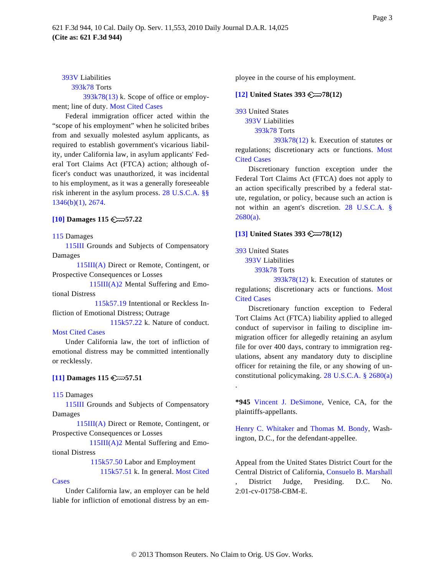### [393V](http://www.westlaw.com/KeyNumber/Default.wl?rs=dfa1.0&vr=2.0&CMD=KEY&DocName=393V) Liabilities

393k78 [Torts](http://www.westlaw.com/KeyNumber/Default.wl?rs=dfa1.0&vr=2.0&CMD=KEY&DocName=393k78)

<span id="page-2-2"></span>[393k78\(13\)](http://www.westlaw.com/KeyNumber/Default.wl?rs=dfa1.0&vr=2.0&CMD=KEY&DocName=393k78%2813%29) k. Scope of office or employment; line of duty. [Most Cited Cases](http://www.westlaw.com/Digest/Default.wl?rs=dfa1.0&vr=2.0&CMD=MCC&DocName=393k78%2813%29)

Federal immigration officer acted within the "scope of his employment" when he solicited bribes from and sexually molested asylum applicants, as required to establish government's vicarious liability, under California law, in asylum applicants' Federal Tort Claims Act (FTCA) action; although officer's conduct was unauthorized, it was incidental to his employment, as it was a generally foreseeable risk inherent in the asylum process. [28 U.S.C.A. §§](http://www.westlaw.com/Find/Default.wl?rs=dfa1.0&vr=2.0&DB=1000546&DocName=28USCAS1346&FindType=L&ReferencePositionType=T&ReferencePosition=SP_3fed000053a85) [1346\(b\)\(1\),](http://www.westlaw.com/Find/Default.wl?rs=dfa1.0&vr=2.0&DB=1000546&DocName=28USCAS1346&FindType=L&ReferencePositionType=T&ReferencePosition=SP_3fed000053a85) [2674](http://www.westlaw.com/Find/Default.wl?rs=dfa1.0&vr=2.0&DB=1000546&DocName=28USCAS2674&FindType=L).

### <span id="page-2-0"></span>**[\[10\]](#page-6-1) Damages 115 57.22**

<span id="page-2-3"></span>[115](http://www.westlaw.com/KeyNumber/Default.wl?rs=dfa1.0&vr=2.0&CMD=KEY&DocName=115) Damages

[115III](http://www.westlaw.com/KeyNumber/Default.wl?rs=dfa1.0&vr=2.0&CMD=KEY&DocName=115III) Grounds and Subjects of Compensatory Damages

115III(A) [Direct](http://www.westlaw.com/KeyNumber/Default.wl?rs=dfa1.0&vr=2.0&CMD=KEY&DocName=115III%28A%29) or Remote, Contingent, or Prospective Consequences or Losses

[115III\(A\)2](http://www.westlaw.com/KeyNumber/Default.wl?rs=dfa1.0&vr=2.0&CMD=KEY&DocName=115III%28A%292) Mental Suffering and Emotional Distress

115k57.19 I[ntentional o](http://www.westlaw.com/KeyNumber/Default.wl?rs=dfa1.0&vr=2.0&CMD=KEY&DocName=115k57.19)r Reckless Infliction of Emotional Distress; Outrage

[115k57.22](http://www.westlaw.com/KeyNumber/Default.wl?rs=dfa1.0&vr=2.0&CMD=KEY&DocName=115k57.22) k. Nature of conduct. [Most Cited Cases](http://www.westlaw.com/Digest/Default.wl?rs=dfa1.0&vr=2.0&CMD=MCC&DocName=115k57.22)

Under California law, the tort of infliction of emotional distress may be committed intentionally or recklessly.

### <span id="page-2-1"></span>**[\[11\]](#page-6-1) Damages 115 57.51**

[115](http://www.westlaw.com/KeyNumber/Default.wl?rs=dfa1.0&vr=2.0&CMD=KEY&DocName=115) Damages

[115III](http://www.westlaw.com/KeyNumber/Default.wl?rs=dfa1.0&vr=2.0&CMD=KEY&DocName=115III) Grounds and Subjects of Compensatory Damages

115III(A) [Direct](http://www.westlaw.com/KeyNumber/Default.wl?rs=dfa1.0&vr=2.0&CMD=KEY&DocName=115III%28A%29) or Remote, Contingent, or Prospective Consequences or Losses

[115III\(A\)2](http://www.westlaw.com/KeyNumber/Default.wl?rs=dfa1.0&vr=2.0&CMD=KEY&DocName=115III%28A%292) Mental Suffering and Emotional Distress

115k57.50 L[abor and E](http://www.westlaw.com/KeyNumber/Default.wl?rs=dfa1.0&vr=2.0&CMD=KEY&DocName=115k57.50)mployment

[115k57.51](http://www.westlaw.com/KeyNumber/Default.wl?rs=dfa1.0&vr=2.0&CMD=KEY&DocName=115k57.51) k. In general. [Most Cited](http://www.westlaw.com/Digest/Default.wl?rs=dfa1.0&vr=2.0&CMD=MCC&DocName=115k57.51)

#### [Cases](http://www.westlaw.com/Digest/Default.wl?rs=dfa1.0&vr=2.0&CMD=MCC&DocName=115k57.51)

Under California law, an employer can be held liable for infliction of emotional distress by an employee in the course of his employment.

### **[\[12\]](#page-7-0) United States 393**  $\mathbb{C}$  78(12)

[393](http://www.westlaw.com/KeyNumber/Default.wl?rs=dfa1.0&vr=2.0&CMD=KEY&DocName=393) United States [393V](http://www.westlaw.com/KeyNumber/Default.wl?rs=dfa1.0&vr=2.0&CMD=KEY&DocName=393V) Liabilities

393k78 [Torts](http://www.westlaw.com/KeyNumber/Default.wl?rs=dfa1.0&vr=2.0&CMD=KEY&DocName=393k78)

 $393k78(12)$  k. Execution of statutes or regulations; discretionary acts or functions. [Most](http://www.westlaw.com/Digest/Default.wl?rs=dfa1.0&vr=2.0&CMD=MCC&DocName=393k78%2812%29) [Cited Cases](http://www.westlaw.com/Digest/Default.wl?rs=dfa1.0&vr=2.0&CMD=MCC&DocName=393k78%2812%29)

Discretionary function exception under the Federal Tort Claims Act (FTCA) does not apply to an action specifically prescribed by a federal statute, regulation, or policy, because such an action is not within an agent's discretion. [28 U.S.C.A.](http://www.westlaw.com/Find/Default.wl?rs=dfa1.0&vr=2.0&DB=1000546&DocName=28USCAS2680&FindType=L&ReferencePositionType=T&ReferencePosition=SP_8b3b0000958a4) §  $2680(a)$ .

### **[\[13\]](#page-7-0) United States 393**  $\mathbb{R}$  78(12)

[393](http://www.westlaw.com/KeyNumber/Default.wl?rs=dfa1.0&vr=2.0&CMD=KEY&DocName=393) United States

[393V](http://www.westlaw.com/KeyNumber/Default.wl?rs=dfa1.0&vr=2.0&CMD=KEY&DocName=393V) Liabilities

393k78 [Torts](http://www.westlaw.com/KeyNumber/Default.wl?rs=dfa1.0&vr=2.0&CMD=KEY&DocName=393k78)

[393k78\(12\)](http://www.westlaw.com/KeyNumber/Default.wl?rs=dfa1.0&vr=2.0&CMD=KEY&DocName=393k78%2812%29) k. Execution of statutes or regulations; discretionary acts or functions. [Most](http://www.westlaw.com/Digest/Default.wl?rs=dfa1.0&vr=2.0&CMD=MCC&DocName=393k78%2812%29) [Cited Cases](http://www.westlaw.com/Digest/Default.wl?rs=dfa1.0&vr=2.0&CMD=MCC&DocName=393k78%2812%29)

Discretionary function exception to Federal Tort Claims Act (FTCA) liability applied to alleged conduct of supervisor in failing to discipline immigration officer for allegedly retaining an asylum file for over 400 days, contrary to immigration regulations, absent any mandatory duty to discipline officer for retaining the file, or any showing of unconstitutional policymaking. [28 U.S.C.A. § 2680\(a](http://www.westlaw.com/Find/Default.wl?rs=dfa1.0&vr=2.0&DB=1000546&DocName=28USCAS2680&FindType=L&ReferencePositionType=T&ReferencePosition=SP_8b3b0000958a4))

**\*945** [Vincent J. DeSimon](http://www.westlaw.com/Find/Default.wl?rs=dfa1.0&vr=2.0&DB=PROFILER-WLD&DocName=0213737401&FindType=h)e, Venice, CA, for the plaintiffs-appellants.

[Henry C. Whitake](http://www.westlaw.com/Find/Default.wl?rs=dfa1.0&vr=2.0&DB=PROFILER-WLD&DocName=0365830201&FindType=h)r and [Thomas M. Bondy](http://www.westlaw.com/Find/Default.wl?rs=dfa1.0&vr=2.0&DB=PROFILER-WLD&DocName=0213499701&FindType=h), Washington, D.C., for the defendant-appellee.

Appeal from the United States District Court for the Central District of California, [Consuelo B. Marshal](http://www.westlaw.com/Find/Default.wl?rs=dfa1.0&vr=2.0&DB=PROFILER-WLD&DocName=0259303101&FindType=h)l District Judge, Presiding. D.C. No. 2:01-cv-01758-CBM-E.

.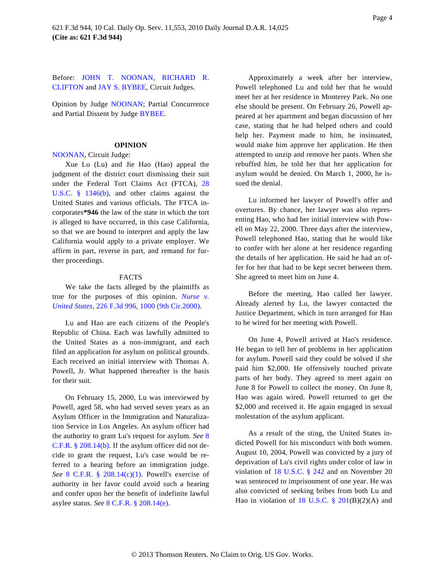Before: [JOHN T. NOON](http://www.westlaw.com/Find/Default.wl?rs=dfa1.0&vr=2.0&DB=PROFILER-WLD&DocName=0229271801&FindType=h)AN, [RICHARD R](http://www.westlaw.com/Find/Default.wl?rs=dfa1.0&vr=2.0&DB=PROFILER-WLD&DocName=0147208301&FindType=h). [CLIFTON](http://www.westlaw.com/Find/Default.wl?rs=dfa1.0&vr=2.0&DB=PROFILER-WLD&DocName=0147208301&FindType=h) and [JAY S. BYBEE](http://www.westlaw.com/Find/Default.wl?rs=dfa1.0&vr=2.0&DB=PROFILER-WLD&DocName=0331021501&FindType=h), Circuit Judges.

Opinion by Judge [NOONAN](http://www.westlaw.com/Find/Default.wl?rs=dfa1.0&vr=2.0&DB=PROFILER-WLD&DocName=0229271801&FindType=h); Partial Concurrence and Partial Dissent by Judge [BYBEE](http://www.westlaw.com/Find/Default.wl?rs=dfa1.0&vr=2.0&DB=PROFILER-WLD&DocName=0331021501&FindType=h).

#### **OPINION**

#### [NOONAN](http://www.westlaw.com/Find/Default.wl?rs=dfa1.0&vr=2.0&DB=PROFILER-WLD&DocName=0229271801&FindType=h), Circuit Judge:

Xue Lu (Lu) and Jie Hao (Hao) appeal the judgment of the district court dismissing their suit under the Federal Tort Claims Act (FTCA), [28](http://www.westlaw.com/Find/Default.wl?rs=dfa1.0&vr=2.0&DB=1000546&DocName=28USCAS1346&FindType=L&ReferencePositionType=T&ReferencePosition=SP_a83b000018c76) [U.S.C. § 1346\(](http://www.westlaw.com/Find/Default.wl?rs=dfa1.0&vr=2.0&DB=1000546&DocName=28USCAS1346&FindType=L&ReferencePositionType=T&ReferencePosition=SP_a83b000018c76)b), and other claims against the United States and various officials. The FTCA incorporates**\*946** the law of the state in which the tort is alleged to have occurred, in this case California, so that we are bound to interpret and apply the law California would apply to a private employer. We affirm in part, reverse in part, and remand for further proceedings.

### FACTS

We take the facts alleged by the plaintiffs as true for the purposes of this opinion. *[Nurse v](http://www.westlaw.com/Find/Default.wl?rs=dfa1.0&vr=2.0&DB=506&FindType=Y&ReferencePositionType=S&SerialNum=2000516164&ReferencePosition=1000). [United States](http://www.westlaw.com/Find/Default.wl?rs=dfa1.0&vr=2.0&DB=506&FindType=Y&ReferencePositionType=S&SerialNum=2000516164&ReferencePosition=1000),* [226 F.3d 996, 1000 \(9th Cir.2000\)](http://www.westlaw.com/Find/Default.wl?rs=dfa1.0&vr=2.0&DB=506&FindType=Y&ReferencePositionType=S&SerialNum=2000516164&ReferencePosition=1000).

Lu and Hao are each citizens of the People's Republic of China. Each was lawfully admitted to the United States as a non-immigrant, and each filed an application for asylum on political grounds. Each received an initial interview with Thomas A. Powell, Jr. What happened thereafter is the basis for their suit.

On February 15, 2000, Lu was interviewed by Powell, aged 58, who had served seven years as an Asylum Officer in the Immigration and Naturalization Service in Los Angeles. An asylum officer had the authority to grant Lu's request for asylum. *See* [8](http://www.westlaw.com/Find/Default.wl?rs=dfa1.0&vr=2.0&DB=1000547&DocName=8CFRS208.14&FindType=L&ReferencePositionType=T&ReferencePosition=SP_a83b000018c76) [C.F.R. § 208.14\(b\)](http://www.westlaw.com/Find/Default.wl?rs=dfa1.0&vr=2.0&DB=1000547&DocName=8CFRS208.14&FindType=L&ReferencePositionType=T&ReferencePosition=SP_a83b000018c76). If the asylum officer did not decide to grant the request, Lu's case would be referred to a hearing before an immigration judge. *See* [8 C.F.R. § 208.14\(c\)\(1](http://www.westlaw.com/Find/Default.wl?rs=dfa1.0&vr=2.0&DB=1000547&DocName=8CFRS208.14&FindType=L&ReferencePositionType=T&ReferencePosition=SP_10c0000001331)). Powell's exercise of authority in her favor could avoid such a hearing and confer upon her the benefit of indefinite lawful asylee status. *See* [8 C.F.R. § 208.14\(e\)](http://www.westlaw.com/Find/Default.wl?rs=dfa1.0&vr=2.0&DB=1000547&DocName=8CFRS208.14&FindType=L&ReferencePositionType=T&ReferencePosition=SP_7fdd00001ca15).

Approximately a week after her interview, Powell telephoned Lu and told her that he would meet her at her residence in Monterey Park. No one else should be present. On February 26, Powell appeared at her apartment and began discussion of her case, stating that he had helped others and could help her. Payment made to him, he insinuated, would make him approve her application. He then attempted to unzip and remove her pants. When she rebuffed him, he told her that her application for asylum would be denied. On March 1, 2000, he issued the denial.

Lu informed her lawyer of Powell's offer and overtures. By chance, her lawyer was also representing Hao, who had her initial interview with Powell on May 22, 2000. Three days after the interview, Powell telephoned Hao, stating that he would like to confer with her alone at her residence regarding the details of her application. He said he had an offer for her that had to be kept secret between them. She agreed to meet him on June 4.

Before the meeting, Hao called her lawyer. Already alerted by Lu, the lawyer contacted the Justice Department, which in turn arranged for Hao to be wired for her meeting with Powell.

On June 4, Powell arrived at Hao's residence. He began to tell her of problems in her application for asylum. Powell said they could be solved if she paid him \$2,000. He offensively touched private parts of her body. They agreed to meet again on June 8 for Powell to collect the money. On June 8, Hao was again wired. Powell returned to get the \$2,000 and received it. He again engaged in sexual molestation of the asylum applicant.

As a result of the sting, the United States indicted Powell for his misconduct with both women. August 10, 2004, Powell was convicted by a jury of deprivation of Lu's civil rights under color of law in violation of [18 U.S.C. § 24](http://www.westlaw.com/Find/Default.wl?rs=dfa1.0&vr=2.0&DB=1000546&DocName=18USCAS242&FindType=L)2 and on November 20 was sentenced to imprisonment of one year. He was also convicted of seeking bribes from both Lu and Hao in violation of 18 U.S.C.  $\S$  201(B)(2)(A) and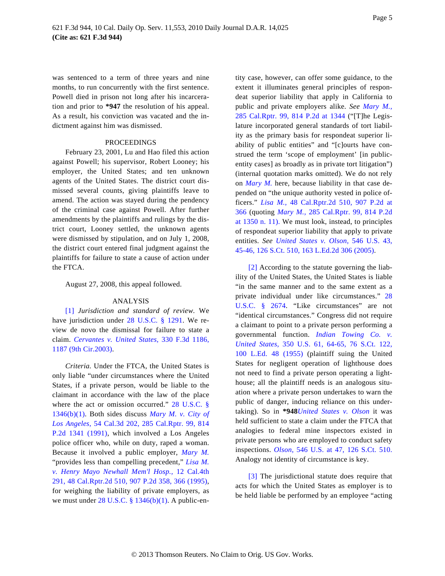was sentenced to a term of three years and nine months, to run concurrently with the first sentence. Powell died in prison not long after his incarceration and prior to **\*947** the resolution of his appeal. As a result, his conviction was vacated and the indictment against him was dismissed.

### **PROCEEDINGS**

February 23, 2001, Lu and Hao filed this action against Powell; his supervisor, Robert Looney; his employer, the United States; and ten unknown agents of the United States. The district court dismissed several counts, giving plaintiffs leave to amend. The action was stayed during the pendency of the criminal case against Powell. After further amendments by the plaintiffs and rulings by the district court, Looney settled, the unknown agents were dismissed by stipulation, and on July 1, 2008, the district court entered final judgment against the plaintiffs for failure to state a cause of action under the FTCA.

<span id="page-4-1"></span>August 27, 2008, this appeal followed.

#### ANALYSIS

<span id="page-4-0"></span>[\[1\]](#page-0-0) *Jurisdiction and standard of review.* We have jurisdiction under [28 U.S.C. § 129](http://www.westlaw.com/Find/Default.wl?rs=dfa1.0&vr=2.0&DB=1000546&DocName=28USCAS1291&FindType=L)1. We review de novo the dismissal for failure to state a claim. *[Cervantes v. United State](http://www.westlaw.com/Find/Default.wl?rs=dfa1.0&vr=2.0&DB=506&FindType=Y&ReferencePositionType=S&SerialNum=2003391550&ReferencePosition=1187)s,* [330 F.3d 1186](http://www.westlaw.com/Find/Default.wl?rs=dfa1.0&vr=2.0&DB=506&FindType=Y&ReferencePositionType=S&SerialNum=2003391550&ReferencePosition=1187), [1187 \(9th Cir.2003\)](http://www.westlaw.com/Find/Default.wl?rs=dfa1.0&vr=2.0&DB=506&FindType=Y&ReferencePositionType=S&SerialNum=2003391550&ReferencePosition=1187).

<span id="page-4-2"></span>*Criteria.* Under the FTCA, the United States is only liable "under circumstances where the United States, if a private person, would be liable to the claimant in accordance with the law of the place where the act or omission occurred." [28 U.S.C. §](http://www.westlaw.com/Find/Default.wl?rs=dfa1.0&vr=2.0&DB=1000546&DocName=28USCAS1346&FindType=L&ReferencePositionType=T&ReferencePosition=SP_3fed000053a85) [1346\(b\)\(1\).](http://www.westlaw.com/Find/Default.wl?rs=dfa1.0&vr=2.0&DB=1000546&DocName=28USCAS1346&FindType=L&ReferencePositionType=T&ReferencePosition=SP_3fed000053a85) Both sides discuss *[Mary M. v. City o](http://www.westlaw.com/Find/Default.wl?rs=dfa1.0&vr=2.0&DB=661&FindType=Y&SerialNum=1991151136)f [Los Angeles](http://www.westlaw.com/Find/Default.wl?rs=dfa1.0&vr=2.0&DB=661&FindType=Y&SerialNum=1991151136),* [54 Cal.3d 202, 285 Cal.Rptr. 99, 81](http://www.westlaw.com/Find/Default.wl?rs=dfa1.0&vr=2.0&DB=661&FindType=Y&SerialNum=1991151136)4 [P.2d 1341 \(1991](http://www.westlaw.com/Find/Default.wl?rs=dfa1.0&vr=2.0&DB=661&FindType=Y&SerialNum=1991151136)), which involved a Los Angeles police officer who, while on duty, raped a woman. Because it involved a public employer, *[Mary M](http://www.westlaw.com/Find/Default.wl?rs=dfa1.0&vr=2.0&FindType=Y&SerialNum=1991151136).* "provides less than compelling precedent," *[Lisa M.](http://www.westlaw.com/Find/Default.wl?rs=dfa1.0&vr=2.0&DB=661&FindType=Y&ReferencePositionType=S&SerialNum=1995250538&ReferencePosition=366) [v. Henry Mayo Newhall Mem'l Hos](http://www.westlaw.com/Find/Default.wl?rs=dfa1.0&vr=2.0&DB=661&FindType=Y&ReferencePositionType=S&SerialNum=1995250538&ReferencePosition=366)p.,* [12 Cal.4th](http://www.westlaw.com/Find/Default.wl?rs=dfa1.0&vr=2.0&DB=661&FindType=Y&ReferencePositionType=S&SerialNum=1995250538&ReferencePosition=366) [291, 48 Cal.Rptr.2d 510, 907 P.2d 358, 366 \(1995](http://www.westlaw.com/Find/Default.wl?rs=dfa1.0&vr=2.0&DB=661&FindType=Y&ReferencePositionType=S&SerialNum=1995250538&ReferencePosition=366)), for weighing the liability of private employers, as we must under  $28$  U.S.C.  $\S$  1346(b)(1). A public-entity case, however, can offer some guidance, to the extent it illuminates general principles of respondeat superior liability that apply in California to public and private employers alike. *See [Mary M.](http://www.westlaw.com/Find/Default.wl?rs=dfa1.0&vr=2.0&DB=661&FindType=Y&ReferencePositionType=S&SerialNum=1991151136&ReferencePosition=1344),* [285 Cal.Rptr. 99, 814 P.2d at 134](http://www.westlaw.com/Find/Default.wl?rs=dfa1.0&vr=2.0&DB=661&FindType=Y&ReferencePositionType=S&SerialNum=1991151136&ReferencePosition=1344)4 ("[T]he Legislature incorporated general standards of tort liability as the primary basis for respondeat superior liability of public entities" and "[c]ourts have construed the term 'scope of employment' [in publicentity cases] as broadly as in private tort litigation") (internal quotation marks omitted). We do not rely on *[Mary M](http://www.westlaw.com/Find/Default.wl?rs=dfa1.0&vr=2.0&FindType=Y&SerialNum=1991151136).* here, because liability in that case depended on "the unique authority vested in police officers." *[Lisa M.](http://www.westlaw.com/Find/Default.wl?rs=dfa1.0&vr=2.0&DB=661&FindType=Y&ReferencePositionType=S&SerialNum=1995250538&ReferencePosition=366),* [48 Cal.Rptr.2d 510, 907 P.2d](http://www.westlaw.com/Find/Default.wl?rs=dfa1.0&vr=2.0&DB=661&FindType=Y&ReferencePositionType=S&SerialNum=1995250538&ReferencePosition=366) at [366](http://www.westlaw.com/Find/Default.wl?rs=dfa1.0&vr=2.0&DB=661&FindType=Y&ReferencePositionType=S&SerialNum=1995250538&ReferencePosition=366) (quoting *[Mary M.](http://www.westlaw.com/Find/Default.wl?rs=dfa1.0&vr=2.0&DB=661&FindType=Y&ReferencePositionType=S&SerialNum=1991151136&ReferencePosition=1350),* [285 Cal.Rptr. 99, 814 P.2d](http://www.westlaw.com/Find/Default.wl?rs=dfa1.0&vr=2.0&DB=661&FindType=Y&ReferencePositionType=S&SerialNum=1991151136&ReferencePosition=1350) [at 1350 n. 11\)](http://www.westlaw.com/Find/Default.wl?rs=dfa1.0&vr=2.0&DB=661&FindType=Y&ReferencePositionType=S&SerialNum=1991151136&ReferencePosition=1350). We must look, instead, to principles of respondeat superior liability that apply to private entities. *See [United States v. Olso](http://www.westlaw.com/Find/Default.wl?rs=dfa1.0&vr=2.0&DB=708&FindType=Y&SerialNum=2007657756)n,* [546 U.S. 43](http://www.westlaw.com/Find/Default.wl?rs=dfa1.0&vr=2.0&DB=708&FindType=Y&SerialNum=2007657756), [45-46, 126 S.Ct. 510, 163 L.Ed.2d 306 \(2005\)](http://www.westlaw.com/Find/Default.wl?rs=dfa1.0&vr=2.0&DB=708&FindType=Y&SerialNum=2007657756).

[\[2\]](#page-0-1) According to the statute governing the liability of the United States, the United States is liable "in the same manner and to the same extent as a private individual under like circumstances." [28](http://www.westlaw.com/Find/Default.wl?rs=dfa1.0&vr=2.0&DB=1000546&DocName=28USCAS2674&FindType=L) [U.S.C. § 26](http://www.westlaw.com/Find/Default.wl?rs=dfa1.0&vr=2.0&DB=1000546&DocName=28USCAS2674&FindType=L)74. "Like circumstances" are not "identical circumstances." Congress did not require a claimant to point to a private person performing a governmental function. *[Indian Towing Co.](http://www.westlaw.com/Find/Default.wl?rs=dfa1.0&vr=2.0&DB=708&FindType=Y&SerialNum=1955119000) v. [United States](http://www.westlaw.com/Find/Default.wl?rs=dfa1.0&vr=2.0&DB=708&FindType=Y&SerialNum=1955119000),* [350 U.S. 61, 64-65, 76 S.Ct. 1](http://www.westlaw.com/Find/Default.wl?rs=dfa1.0&vr=2.0&DB=708&FindType=Y&SerialNum=1955119000)22, [100 L.Ed. 48 \(195](http://www.westlaw.com/Find/Default.wl?rs=dfa1.0&vr=2.0&DB=708&FindType=Y&SerialNum=1955119000)5) (plaintiff suing the United States for negligent operation of lighthouse does not need to find a private person operating a lighthouse; all the plaintiff needs is an analogous situation where a private person undertakes to warn the public of danger, inducing reliance on this undertaking). So in **\*948***[United States v. Olso](http://www.westlaw.com/Find/Default.wl?rs=dfa1.0&vr=2.0&FindType=Y&SerialNum=2007657756)n* it was held sufficient to state a claim under the FTCA that analogies to federal mine inspectors existed in private persons who are employed to conduct safety inspections. *[Olson,](http://www.westlaw.com/Find/Default.wl?rs=dfa1.0&vr=2.0&DB=708&FindType=Y&SerialNum=2007657756)* [546 U.S. at 47, 126 S.Ct. 51](http://www.westlaw.com/Find/Default.wl?rs=dfa1.0&vr=2.0&DB=708&FindType=Y&SerialNum=2007657756)0. Analogy not identity of circumstance is key.

[\[3\]](#page-0-2) The jurisdictional statute does require that acts for which the United States as employer is to be held liable be performed by an employee "acting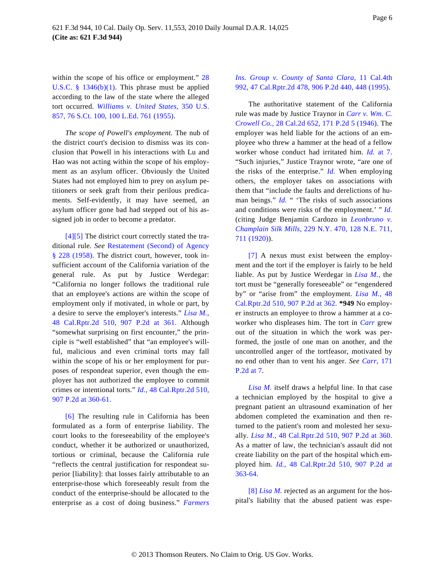within the scope of his office or employment." [28](http://www.westlaw.com/Find/Default.wl?rs=dfa1.0&vr=2.0&DB=1000546&DocName=28USCAS1346&FindType=L&ReferencePositionType=T&ReferencePosition=SP_3fed000053a85) [U.S.C. § 1346\(b\)\(1](http://www.westlaw.com/Find/Default.wl?rs=dfa1.0&vr=2.0&DB=1000546&DocName=28USCAS1346&FindType=L&ReferencePositionType=T&ReferencePosition=SP_3fed000053a85)). This phrase must be applied according to the law of the state where the alleged tort occurred. *[Williams v. United State](http://www.westlaw.com/Find/Default.wl?rs=dfa1.0&vr=2.0&DB=708&FindType=Y&SerialNum=1955201112)s,* [350 U.S](http://www.westlaw.com/Find/Default.wl?rs=dfa1.0&vr=2.0&DB=708&FindType=Y&SerialNum=1955201112). [857, 76 S.Ct. 100, 100 L.Ed. 761 \(1955\)](http://www.westlaw.com/Find/Default.wl?rs=dfa1.0&vr=2.0&DB=708&FindType=Y&SerialNum=1955201112).

*The scope of Powell's employment.* The nub of the district court's decision to dismiss was its conclusion that Powell in his interactions with Lu and Hao was not acting within the scope of his employment as an asylum officer. Obviously the United States had not employed him to prey on asylum petitioners or seek graft from their perilous predicaments. Self-evidently, it may have seemed, an asylum officer gone bad had stepped out of his assigned job in order to become a predator.

<span id="page-5-2"></span><span id="page-5-0"></span>[\[4\]](#page-0-3)[\[5\]](#page-1-0) The district court correctly stated the traditional rule. *See* [Restatement \(Second\) of Agency](http://www.westlaw.com/Find/Default.wl?rs=dfa1.0&vr=2.0&DB=0101579&FindType=Y&SerialNum=0288873158) [§ 228 \(1958](http://www.westlaw.com/Find/Default.wl?rs=dfa1.0&vr=2.0&DB=0101579&FindType=Y&SerialNum=0288873158)). The district court, however, took insufficient account of the California variation of the general rule. As put by Justice Werdegar: "California no longer follows the traditional rule that an employee's actions are within the scope of employment only if motivated, in whole or part, by a desire to serve the employer's interests." *[Lisa M.](http://www.westlaw.com/Find/Default.wl?rs=dfa1.0&vr=2.0&DB=661&FindType=Y&ReferencePositionType=S&SerialNum=1995250538&ReferencePosition=361),* [48 Cal.Rptr.2d 510, 907 P.2d at](http://www.westlaw.com/Find/Default.wl?rs=dfa1.0&vr=2.0&DB=661&FindType=Y&ReferencePositionType=S&SerialNum=1995250538&ReferencePosition=361) 361. Although "somewhat surprising on first encounter," the principle is "well established" that "an employee's willful, malicious and even criminal torts may fall within the scope of his or her employment for purposes of respondeat superior, even though the employer has not authorized the employee to commit crimes or intentional torts." *[Id.](http://www.westlaw.com/Find/Default.wl?rs=dfa1.0&vr=2.0&DB=661&FindType=Y&ReferencePositionType=S&SerialNum=1995250538&ReferencePosition=360)*[, 48 Cal.Rptr.2d 510,](http://www.westlaw.com/Find/Default.wl?rs=dfa1.0&vr=2.0&DB=661&FindType=Y&ReferencePositionType=S&SerialNum=1995250538&ReferencePosition=360) [907 P.2d at 360-61.](http://www.westlaw.com/Find/Default.wl?rs=dfa1.0&vr=2.0&DB=661&FindType=Y&ReferencePositionType=S&SerialNum=1995250538&ReferencePosition=360)

<span id="page-5-3"></span><span id="page-5-1"></span>[\[6\]](#page-1-1) The resulting rule in California has been formulated as a form of enterprise liability. The court looks to the foreseeability of the employee's conduct, whether it be authorized or unauthorized, tortious or criminal, because the California rule "reflects the central justification for respondeat superior [liability]: that losses fairly attributable to an enterprise-those which foreseeably result from the conduct of the enterprise-should be allocated to the enterprise as a cost of doing business." *Farmers*

### *[Ins. Group v. County of Santa Cla](http://www.westlaw.com/Find/Default.wl?rs=dfa1.0&vr=2.0&DB=661&FindType=Y&ReferencePositionType=S&SerialNum=1995240400&ReferencePosition=448)ra,* [11 Cal.4th](http://www.westlaw.com/Find/Default.wl?rs=dfa1.0&vr=2.0&DB=661&FindType=Y&ReferencePositionType=S&SerialNum=1995240400&ReferencePosition=448) [992, 47 Cal.Rptr.2d 478, 906 P.2d 440, 448 \(1995\)](http://www.westlaw.com/Find/Default.wl?rs=dfa1.0&vr=2.0&DB=661&FindType=Y&ReferencePositionType=S&SerialNum=1995240400&ReferencePosition=448).

The authoritative statement of the California rule was made by Justice Traynor in *[Carr v. Wm. C.](http://www.westlaw.com/Find/Default.wl?rs=dfa1.0&vr=2.0&DB=661&FindType=Y&SerialNum=1946111202) [Crowell Co.](http://www.westlaw.com/Find/Default.wl?rs=dfa1.0&vr=2.0&DB=661&FindType=Y&SerialNum=1946111202),* [28 Cal.2d 652, 171 P.2d 5 \(1946](http://www.westlaw.com/Find/Default.wl?rs=dfa1.0&vr=2.0&DB=661&FindType=Y&SerialNum=1946111202)). The employer was held liable for the actions of an employee who threw a hammer at the head of a fellow worker whose conduct had irritated him. *[Id](http://www.westlaw.com/Find/Default.wl?rs=dfa1.0&vr=2.0&FindType=Y&SerialNum=1946111202).* [at 7](http://www.westlaw.com/Find/Default.wl?rs=dfa1.0&vr=2.0&FindType=Y&SerialNum=1946111202). "Such injuries," Justice Traynor wrote, "are one of the risks of the enterprise." *[Id.](http://www.westlaw.com/Find/Default.wl?rs=dfa1.0&vr=2.0&FindType=Y&SerialNum=1946111202)* When employing others, the employer takes on associations with them that "include the faults and derelictions of human beings." *[Id](http://www.westlaw.com/Find/Default.wl?rs=dfa1.0&vr=2.0&FindType=Y&SerialNum=1946111202).* " 'The risks of such associations and conditions were risks of the employment.' " *[Id](http://www.westlaw.com/Find/Default.wl?rs=dfa1.0&vr=2.0&FindType=Y&SerialNum=1946111202).* (citing Judge Benjamin Cardozo in *[Leonbruno v.](http://www.westlaw.com/Find/Default.wl?rs=dfa1.0&vr=2.0&DB=577&FindType=Y&ReferencePositionType=S&SerialNum=1920135170&ReferencePosition=711) [Champlain Silk Mills](http://www.westlaw.com/Find/Default.wl?rs=dfa1.0&vr=2.0&DB=577&FindType=Y&ReferencePositionType=S&SerialNum=1920135170&ReferencePosition=711),* [229 N.Y. 470, 128 N.E. 711](http://www.westlaw.com/Find/Default.wl?rs=dfa1.0&vr=2.0&DB=577&FindType=Y&ReferencePositionType=S&SerialNum=1920135170&ReferencePosition=711), [711 \(1920\)](http://www.westlaw.com/Find/Default.wl?rs=dfa1.0&vr=2.0&DB=577&FindType=Y&ReferencePositionType=S&SerialNum=1920135170&ReferencePosition=711)).

[\[7\]](#page-1-2) A nexus must exist between the employment and the tort if the employer is fairly to be held liable. As put by Justice Werdegar in *[Lisa M.](http://www.westlaw.com/Find/Default.wl?rs=dfa1.0&vr=2.0&FindType=Y&SerialNum=1995250538),* the tort must be "generally foreseeable" or "engendered by" or "arise from" the employment. *[Lisa M.,](http://www.westlaw.com/Find/Default.wl?rs=dfa1.0&vr=2.0&DB=661&FindType=Y&ReferencePositionType=S&SerialNum=1995250538&ReferencePosition=362)* 48 [Cal.Rptr.2d 510, 907 P.2d at 362](http://www.westlaw.com/Find/Default.wl?rs=dfa1.0&vr=2.0&DB=661&FindType=Y&ReferencePositionType=S&SerialNum=1995250538&ReferencePosition=362). **\*949** No employer instructs an employee to throw a hammer at a coworker who displeases him. The tort in *[Carr](http://www.westlaw.com/Find/Default.wl?rs=dfa1.0&vr=2.0&FindType=Y&SerialNum=1946111202)* grew out of the situation in which the work was performed, the jostle of one man on another, and the uncontrolled anger of the tortfeasor, motivated by no end other than to vent his anger. *See [Carr,](http://www.westlaw.com/Find/Default.wl?rs=dfa1.0&vr=2.0&DB=661&FindType=Y&ReferencePositionType=S&SerialNum=1946111202&ReferencePosition=7)* 171 [P.2d at 7](http://www.westlaw.com/Find/Default.wl?rs=dfa1.0&vr=2.0&DB=661&FindType=Y&ReferencePositionType=S&SerialNum=1946111202&ReferencePosition=7).

*[Lisa M](http://www.westlaw.com/Find/Default.wl?rs=dfa1.0&vr=2.0&FindType=Y&SerialNum=1995250538).* itself draws a helpful line. In that case a technician employed by the hospital to give a pregnant patient an ultrasound examination of her abdomen completed the examination and then returned to the patient's room and molested her sexually. *[Lisa M.](http://www.westlaw.com/Find/Default.wl?rs=dfa1.0&vr=2.0&DB=661&FindType=Y&ReferencePositionType=S&SerialNum=1995250538&ReferencePosition=360),* [48 Cal.Rptr.2d 510, 907 P.2d at 36](http://www.westlaw.com/Find/Default.wl?rs=dfa1.0&vr=2.0&DB=661&FindType=Y&ReferencePositionType=S&SerialNum=1995250538&ReferencePosition=360)0. As a matter of law, the technician's assault did not create liability on the part of the hospital which employed him. *[Id.](http://www.westlaw.com/Find/Default.wl?rs=dfa1.0&vr=2.0&DB=661&FindType=Y&ReferencePositionType=S&SerialNum=1995250538&ReferencePosition=363)*[, 48 Cal.Rptr.2d 510, 907 P.2d](http://www.westlaw.com/Find/Default.wl?rs=dfa1.0&vr=2.0&DB=661&FindType=Y&ReferencePositionType=S&SerialNum=1995250538&ReferencePosition=363) at [363-64.](http://www.westlaw.com/Find/Default.wl?rs=dfa1.0&vr=2.0&DB=661&FindType=Y&ReferencePositionType=S&SerialNum=1995250538&ReferencePosition=363)

[\[8\]](#page-1-3) *Lisa M*. rejected as an argument for the hospital's liability that the abused patient was espe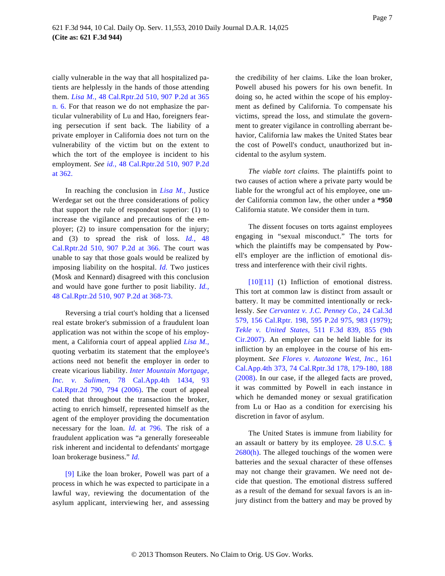cially vulnerable in the way that all hospitalized patients are helplessly in the hands of those attending them. *[Lisa M.](http://www.westlaw.com/Find/Default.wl?rs=dfa1.0&vr=2.0&DB=661&FindType=Y&ReferencePositionType=S&SerialNum=1995250538&ReferencePosition=365),* [48 Cal.Rptr.2d 510, 907 P.2d at 365](http://www.westlaw.com/Find/Default.wl?rs=dfa1.0&vr=2.0&DB=661&FindType=Y&ReferencePositionType=S&SerialNum=1995250538&ReferencePosition=365) [n. 6](http://www.westlaw.com/Find/Default.wl?rs=dfa1.0&vr=2.0&DB=661&FindType=Y&ReferencePositionType=S&SerialNum=1995250538&ReferencePosition=365). For that reason we do not emphasize the particular vulnerability of Lu and Hao, foreigners fearing persecution if sent back. The liability of a private employer in California does not turn on the vulnerability of the victim but on the extent to which the tort of the employee is incident to his employment. *See [id.,](http://www.westlaw.com/Find/Default.wl?rs=dfa1.0&vr=2.0&DB=661&FindType=Y&ReferencePositionType=S&SerialNum=1995250538&ReferencePosition=362)* [48 Cal.Rptr.2d 510, 907 P.2d](http://www.westlaw.com/Find/Default.wl?rs=dfa1.0&vr=2.0&DB=661&FindType=Y&ReferencePositionType=S&SerialNum=1995250538&ReferencePosition=362) [at 362.](http://www.westlaw.com/Find/Default.wl?rs=dfa1.0&vr=2.0&DB=661&FindType=Y&ReferencePositionType=S&SerialNum=1995250538&ReferencePosition=362)

In reaching the conclusion in *[Lisa M.](http://www.westlaw.com/Find/Default.wl?rs=dfa1.0&vr=2.0&FindType=Y&SerialNum=1995250538),* Justice Werdegar set out the three considerations of policy that support the rule of respondeat superior: (1) to increase the vigilance and precautions of the employer; (2) to insure compensation for the injury; and (3) to spread the risk of loss. *[Id](http://www.westlaw.com/Find/Default.wl?rs=dfa1.0&vr=2.0&DB=661&FindType=Y&ReferencePositionType=S&SerialNum=1995250538&ReferencePosition=366).*[, 4](http://www.westlaw.com/Find/Default.wl?rs=dfa1.0&vr=2.0&DB=661&FindType=Y&ReferencePositionType=S&SerialNum=1995250538&ReferencePosition=366)8 [Cal.Rptr.2d 510, 907 P.2d at 3](http://www.westlaw.com/Find/Default.wl?rs=dfa1.0&vr=2.0&DB=661&FindType=Y&ReferencePositionType=S&SerialNum=1995250538&ReferencePosition=366)66. The court was unable to say that those goals would be realized by imposing liability on the hospital. *[Id](http://www.westlaw.com/Find/Default.wl?rs=dfa1.0&vr=2.0&FindType=Y&SerialNum=1995250538).* Two justices (Mosk and Kennard) disagreed with this conclusion and would have gone further to posit liability. *[Id.](http://www.westlaw.com/Find/Default.wl?rs=dfa1.0&vr=2.0&DB=661&FindType=Y&ReferencePositionType=S&SerialNum=1995250538&ReferencePosition=368)*, [48 Cal.Rptr.2d 510, 907 P.2d at 368-73](http://www.westlaw.com/Find/Default.wl?rs=dfa1.0&vr=2.0&DB=661&FindType=Y&ReferencePositionType=S&SerialNum=1995250538&ReferencePosition=368).

<span id="page-6-1"></span>Reversing a trial court's holding that a licensed real estate broker's submission of a fraudulent loan application was not within the scope of his employment, a California court of appeal applied *[Lisa M.](http://www.westlaw.com/Find/Default.wl?rs=dfa1.0&vr=2.0&FindType=Y&SerialNum=1995250538),* quoting verbatim its statement that the employee's actions need not benefit the employer in order to create vicarious liability. *[Inter Mountain Mortgage,](http://www.westlaw.com/Find/Default.wl?rs=dfa1.0&vr=2.0&DB=3484&FindType=Y&ReferencePositionType=S&SerialNum=2000076119&ReferencePosition=794) [Inc. v. Sulim](http://www.westlaw.com/Find/Default.wl?rs=dfa1.0&vr=2.0&DB=3484&FindType=Y&ReferencePositionType=S&SerialNum=2000076119&ReferencePosition=794)en,* [78 Cal.App.4th 143](http://www.westlaw.com/Find/Default.wl?rs=dfa1.0&vr=2.0&DB=3484&FindType=Y&ReferencePositionType=S&SerialNum=2000076119&ReferencePosition=794)4, 93 [Cal.Rptr.2d 790, 794 \(200](http://www.westlaw.com/Find/Default.wl?rs=dfa1.0&vr=2.0&DB=3484&FindType=Y&ReferencePositionType=S&SerialNum=2000076119&ReferencePosition=794)6). The court of appeal noted that throughout the transaction the broker, acting to enrich himself, represented himself as the agent of the employer providing the documentation necessary for the loan. *[Id.](http://www.westlaw.com/Find/Default.wl?rs=dfa1.0&vr=2.0&FindType=Y&SerialNum=2000076119)* [at 796](http://www.westlaw.com/Find/Default.wl?rs=dfa1.0&vr=2.0&FindType=Y&SerialNum=2000076119). The risk of a fraudulent application was "a generally foreseeable risk inherent and incidental to defendants' mortgage loan brokerage business." *[Id.](http://www.westlaw.com/Find/Default.wl?rs=dfa1.0&vr=2.0&FindType=Y&SerialNum=2000076119)*

<span id="page-6-0"></span>[\[9\]](#page-1-4) Like the loan broker, Powell was part of a process in which he was expected to participate in a lawful way, reviewing the documentation of the asylum applicant, interviewing her, and assessing

the credibility of her claims. Like the loan broker, Powell abused his powers for his own benefit. In doing so, he acted within the scope of his employment as defined by California. To compensate his victims, spread the loss, and stimulate the government to greater vigilance in controlling aberrant behavior, California law makes the United States bear the cost of Powell's conduct, unauthorized but incidental to the asylum system.

*The viable tort claims.* The plaintiffs point to two causes of action where a private party would be liable for the wrongful act of his employee, one under California common law, the other under a **\*950** California statute. We consider them in turn.

The dissent focuses on torts against employees engaging in "sexual misconduct." The torts for which the plaintiffs may be compensated by Powell's employer are the infliction of emotional distress and interference with their civil rights.

[\[10](#page-2-0)[\]\[11\]](#page-2-1) (1) Infliction of emotional distress. This tort at common law is distinct from assault or battery. It may be committed intentionally or recklessly. *See [Cervantez v. J.C. Penney Co.](http://www.westlaw.com/Find/Default.wl?rs=dfa1.0&vr=2.0&DB=661&FindType=Y&ReferencePositionType=S&SerialNum=1979124305&ReferencePosition=983),* [24 Cal.3d](http://www.westlaw.com/Find/Default.wl?rs=dfa1.0&vr=2.0&DB=661&FindType=Y&ReferencePositionType=S&SerialNum=1979124305&ReferencePosition=983) [579, 156 Cal.Rptr. 198, 595 P.2d 975, 983 \(197](http://www.westlaw.com/Find/Default.wl?rs=dfa1.0&vr=2.0&DB=661&FindType=Y&ReferencePositionType=S&SerialNum=1979124305&ReferencePosition=983)9); *[Tekle v. United Stat](http://www.westlaw.com/Find/Default.wl?rs=dfa1.0&vr=2.0&DB=506&FindType=Y&ReferencePositionType=S&SerialNum=2014245857&ReferencePosition=855)es,* [511 F.3d 839, 855 \(](http://www.westlaw.com/Find/Default.wl?rs=dfa1.0&vr=2.0&DB=506&FindType=Y&ReferencePositionType=S&SerialNum=2014245857&ReferencePosition=855)9th [Cir.2007\).](http://www.westlaw.com/Find/Default.wl?rs=dfa1.0&vr=2.0&DB=506&FindType=Y&ReferencePositionType=S&SerialNum=2014245857&ReferencePosition=855) An employer can be held liable for its infliction by an employee in the course of his employment. *See [Flores v. Autozone West, Inc.,](http://www.westlaw.com/Find/Default.wl?rs=dfa1.0&vr=2.0&DB=7047&FindType=Y&ReferencePositionType=S&SerialNum=2015359690&ReferencePosition=179)* 161 [Cal.App.4th 373, 74 Cal.Rptr.3d 178, 179-180, 188](http://www.westlaw.com/Find/Default.wl?rs=dfa1.0&vr=2.0&DB=7047&FindType=Y&ReferencePositionType=S&SerialNum=2015359690&ReferencePosition=179) [\(2008\).](http://www.westlaw.com/Find/Default.wl?rs=dfa1.0&vr=2.0&DB=7047&FindType=Y&ReferencePositionType=S&SerialNum=2015359690&ReferencePosition=179) In our case, if the alleged facts are proved, it was committed by Powell in each instance in which he demanded money or sexual gratification from Lu or Hao as a condition for exercising his discretion in favor of asylum.

The United States is immune from liability for an assault or battery by its employee. [28 U.S.C. §](http://www.westlaw.com/Find/Default.wl?rs=dfa1.0&vr=2.0&DB=1000546&DocName=28USCAS2680&FindType=L&ReferencePositionType=T&ReferencePosition=SP_f383000077b35)  $2680(h)$ . The alleged touchings of the women were batteries and the sexual character of these offenses may not change their gravamen. We need not decide that question. The emotional distress suffered as a result of the demand for sexual favors is an injury distinct from the battery and may be proved by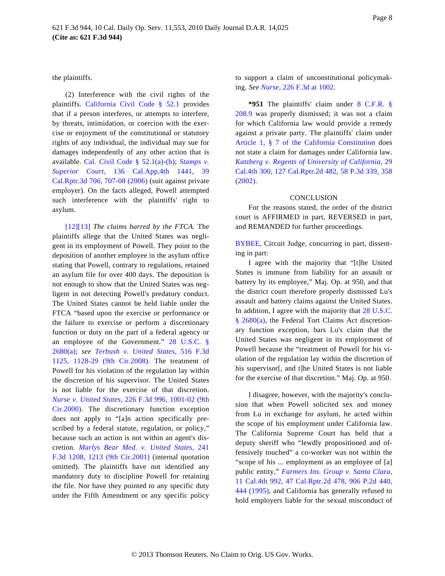the plaintiffs.

(2) Interference with the civil rights of the plaintiffs. [California Civil Code § 5](http://www.westlaw.com/Find/Default.wl?rs=dfa1.0&vr=2.0&DB=1000200&DocName=CACIS52.1&FindType=L)2.1 provides that if a person interferes, or attempts to interfere, by threats, intimidation, or coercion with the exercise or enjoyment of the constitutional or statutory rights of any individual, the individual may sue for damages independently of any other action that is available. [Cal. Civil Code § 52.1\(a](http://www.westlaw.com/Find/Default.wl?rs=dfa1.0&vr=2.0&DB=1000200&DocName=CACIS52.1&FindType=L&ReferencePositionType=T&ReferencePosition=SP_8b3b0000958a4))-(b); *[Stamp](http://www.westlaw.com/Find/Default.wl?rs=dfa1.0&vr=2.0&DB=1000200&DocName=CACIS52.1&FindType=L&ReferencePositionType=T&ReferencePosition=SP_a83b000018c76)[s v.](http://www.westlaw.com/Find/Default.wl?rs=dfa1.0&vr=2.0&DB=7047&FindType=Y&ReferencePositionType=S&SerialNum=2008552243&ReferencePosition=707) [Superior Cou](http://www.westlaw.com/Find/Default.wl?rs=dfa1.0&vr=2.0&DB=7047&FindType=Y&ReferencePositionType=S&SerialNum=2008552243&ReferencePosition=707)rt,* [136 Cal.App.4th 144](http://www.westlaw.com/Find/Default.wl?rs=dfa1.0&vr=2.0&DB=7047&FindType=Y&ReferencePositionType=S&SerialNum=2008552243&ReferencePosition=707)1, 39 [Cal.Rptr.3d 706, 707-08 \(2006\)](http://www.westlaw.com/Find/Default.wl?rs=dfa1.0&vr=2.0&DB=7047&FindType=Y&ReferencePositionType=S&SerialNum=2008552243&ReferencePosition=707) (suit against private employer). On the facts alleged, Powell attempted such interference with the plaintiffs' right to asylum.

<span id="page-7-0"></span>[\[12](#page-2-2)[\]\[13\]](#page-2-3) *The claims barred by the FTCA.* The plaintiffs allege that the United States was negligent in its employment of Powell. They point to the deposition of another employee in the asylum office stating that Powell, contrary to regulations, retained an asylum file for over 400 days. The deposition is not enough to show that the United States was negligent in not detecting Powell's predatory conduct. The United States cannot be held liable under the FTCA "based upon the exercise or performance or the failure to exercise or perform a discretionary function or duty on the part of a federal agency or an employee of the Government." [28 U.S.C.](http://www.westlaw.com/Find/Default.wl?rs=dfa1.0&vr=2.0&DB=1000546&DocName=28USCAS2680&FindType=L&ReferencePositionType=T&ReferencePosition=SP_8b3b0000958a4) § [2680\(a\)](http://www.westlaw.com/Find/Default.wl?rs=dfa1.0&vr=2.0&DB=1000546&DocName=28USCAS2680&FindType=L&ReferencePositionType=T&ReferencePosition=SP_8b3b0000958a4); *see [Terbush v. United State](http://www.westlaw.com/Find/Default.wl?rs=dfa1.0&vr=2.0&DB=506&FindType=Y&ReferencePositionType=S&SerialNum=2015297928&ReferencePosition=1128)s,* [516 F.3d](http://www.westlaw.com/Find/Default.wl?rs=dfa1.0&vr=2.0&DB=506&FindType=Y&ReferencePositionType=S&SerialNum=2015297928&ReferencePosition=1128) [1125, 1128-29 \(9th Cir.200](http://www.westlaw.com/Find/Default.wl?rs=dfa1.0&vr=2.0&DB=506&FindType=Y&ReferencePositionType=S&SerialNum=2015297928&ReferencePosition=1128)8). The treatment of Powell for his violation of the regulation lay within the discretion of his supervisor. The United States is not liable for the exercise of that discretion. *[Nurse v. United States](http://www.westlaw.com/Find/Default.wl?rs=dfa1.0&vr=2.0&DB=506&FindType=Y&ReferencePositionType=S&SerialNum=2000516164&ReferencePosition=1001),* [226 F.3d 996, 1001-02 \(9th](http://www.westlaw.com/Find/Default.wl?rs=dfa1.0&vr=2.0&DB=506&FindType=Y&ReferencePositionType=S&SerialNum=2000516164&ReferencePosition=1001) [Cir.2000\).](http://www.westlaw.com/Find/Default.wl?rs=dfa1.0&vr=2.0&DB=506&FindType=Y&ReferencePositionType=S&SerialNum=2000516164&ReferencePosition=1001) The discretionary function exception does not apply to "[a]n action specifically prescribed by a federal statute, regulation, or policy," because such an action is not within an agent's discretion. *[Marlys Bear Med. v. United States,](http://www.westlaw.com/Find/Default.wl?rs=dfa1.0&vr=2.0&DB=506&FindType=Y&ReferencePositionType=S&SerialNum=2001193389&ReferencePosition=1213)* 241 [F.3d 1208, 1213 \(9th Cir.2001](http://www.westlaw.com/Find/Default.wl?rs=dfa1.0&vr=2.0&DB=506&FindType=Y&ReferencePositionType=S&SerialNum=2001193389&ReferencePosition=1213)) (internal quotation omitted). The plaintiffs have not identified any mandatory duty to discipline Powell for retaining the file. Nor have they pointed to any specific duty under the Fifth Amendment or any specific policy to support a claim of unconstitutional policymaking. *See [Nurse](http://www.westlaw.com/Find/Default.wl?rs=dfa1.0&vr=2.0&DB=506&FindType=Y&ReferencePositionType=S&SerialNum=2000516164&ReferencePosition=1002),* [226 F.3d at 1002](http://www.westlaw.com/Find/Default.wl?rs=dfa1.0&vr=2.0&DB=506&FindType=Y&ReferencePositionType=S&SerialNum=2000516164&ReferencePosition=1002).

**\*951** The plaintiffs' claim under [8 C.F.R.](http://www.westlaw.com/Find/Default.wl?rs=dfa1.0&vr=2.0&DB=1000547&DocName=8CFRS208.9&FindType=L) § [208.9](http://www.westlaw.com/Find/Default.wl?rs=dfa1.0&vr=2.0&DB=1000547&DocName=8CFRS208.9&FindType=L) was properly dismissed; it was not a claim for which California law would provide a remedy against a private party. The plaintiffs' claim under [Article 1, § 7 of the California Constitut](http://www.westlaw.com/Find/Default.wl?rs=dfa1.0&vr=2.0&DB=1000298&DocName=CACNART1S7&FindType=L)ion does not state a claim for damages under California law. *[Katzberg v. Regents of University of California,](http://www.westlaw.com/Find/Default.wl?rs=dfa1.0&vr=2.0&DB=4645&FindType=Y&ReferencePositionType=S&SerialNum=2002748030&ReferencePosition=358)* 29 [Cal.4th 300, 127 Cal.Rptr.2d 482, 58 P.3d 339, 358](http://www.westlaw.com/Find/Default.wl?rs=dfa1.0&vr=2.0&DB=4645&FindType=Y&ReferencePositionType=S&SerialNum=2002748030&ReferencePosition=358) [\(2002\).](http://www.westlaw.com/Find/Default.wl?rs=dfa1.0&vr=2.0&DB=4645&FindType=Y&ReferencePositionType=S&SerialNum=2002748030&ReferencePosition=358)

### **CONCLUSION**

For the reasons stated, the order of the district court is AFFIRMED in part, REVERSED in part, and REMANDED for further proceedings.

[BYBEE](http://www.westlaw.com/Find/Default.wl?rs=dfa1.0&vr=2.0&DB=PROFILER-WLD&DocName=0331021501&FindType=h), Circuit Judge, concurring in part, dissenting in part:

I agree with the majority that "[t]he United States is immune from liability for an assault or battery by its employee," Maj. Op. at 950, and that the district court therefore properly dismissed Lu's assault and battery claims against the United States. In addition, I agree with the majority that [28 U.S.C.](http://www.westlaw.com/Find/Default.wl?rs=dfa1.0&vr=2.0&DB=1000546&DocName=28USCAS2680&FindType=L&ReferencePositionType=T&ReferencePosition=SP_8b3b0000958a4) [§ 2680\(a](http://www.westlaw.com/Find/Default.wl?rs=dfa1.0&vr=2.0&DB=1000546&DocName=28USCAS2680&FindType=L&ReferencePositionType=T&ReferencePosition=SP_8b3b0000958a4)), the Federal Tort Claims Act discretionary function exception, bars Lu's claim that the United States was negligent in its employment of Powell because the "treatment of Powell for his violation of the regulation lay within the discretion of his supervisor<sup>[, and t]he United States is not liable</sup> for the exercise of that discretion." Maj. Op. at 950.

I disagree, however, with the majority's conclusion that when Powell solicited sex and money from Lu in exchange for asylum, he acted within the scope of his employment under California law. The California Supreme Court has held that a deputy sheriff who "lewdly propositioned and offensively touched" a co-worker was not within the "scope of his ... employment as an employee of [a] public entity," *[Farmers Ins. Group v. Santa Clara](http://www.westlaw.com/Find/Default.wl?rs=dfa1.0&vr=2.0&DB=661&FindType=Y&ReferencePositionType=S&SerialNum=1995240400&ReferencePosition=444),* [11 Cal.4th 992, 47 Cal.Rptr.2d 478, 906 P.2d 44](http://www.westlaw.com/Find/Default.wl?rs=dfa1.0&vr=2.0&DB=661&FindType=Y&ReferencePositionType=S&SerialNum=1995240400&ReferencePosition=444)0, [444 \(1995\)](http://www.westlaw.com/Find/Default.wl?rs=dfa1.0&vr=2.0&DB=661&FindType=Y&ReferencePositionType=S&SerialNum=1995240400&ReferencePosition=444), and California has generally refused to hold employers liable for the sexual misconduct of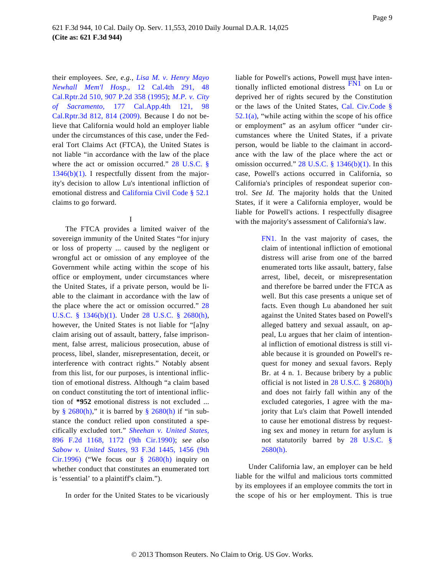<span id="page-8-1"></span>their employees. *See, e.g., [Lisa M. v. Henry Mayo](http://www.westlaw.com/Find/Default.wl?rs=dfa1.0&vr=2.0&DB=661&FindType=Y&SerialNum=1995250538) [Newhall Mem'l Ho](http://www.westlaw.com/Find/Default.wl?rs=dfa1.0&vr=2.0&DB=661&FindType=Y&SerialNum=1995250538)sp.,* [12 Cal.4th 29](http://www.westlaw.com/Find/Default.wl?rs=dfa1.0&vr=2.0&DB=661&FindType=Y&SerialNum=1995250538)1, 48 [Cal.Rptr.2d 510, 907 P.2d 358 \(1995](http://www.westlaw.com/Find/Default.wl?rs=dfa1.0&vr=2.0&DB=661&FindType=Y&SerialNum=1995250538)); *[M.P. v. City](http://www.westlaw.com/Find/Default.wl?rs=dfa1.0&vr=2.0&DB=7047&FindType=Y&ReferencePositionType=S&SerialNum=2019711247&ReferencePosition=814) [of Sacramen](http://www.westlaw.com/Find/Default.wl?rs=dfa1.0&vr=2.0&DB=7047&FindType=Y&ReferencePositionType=S&SerialNum=2019711247&ReferencePosition=814)to,* [177 Cal.App.4th 1](http://www.westlaw.com/Find/Default.wl?rs=dfa1.0&vr=2.0&DB=7047&FindType=Y&ReferencePositionType=S&SerialNum=2019711247&ReferencePosition=814)21, 98 [Cal.Rptr.3d 812, 814 \(2009](http://www.westlaw.com/Find/Default.wl?rs=dfa1.0&vr=2.0&DB=7047&FindType=Y&ReferencePositionType=S&SerialNum=2019711247&ReferencePosition=814)). Because I do not believe that California would hold an employer liable under the circumstances of this case, under the Federal Tort Claims Act (FTCA), the United States is not liable "in accordance with the law of the place where the act or omission occurred." [28 U.S.C. §](http://www.westlaw.com/Find/Default.wl?rs=dfa1.0&vr=2.0&DB=1000546&DocName=28USCAS1346&FindType=L&ReferencePositionType=T&ReferencePosition=SP_3fed000053a85)  $1346(b)(1)$ . I respectfully dissent from the majority's decision to allow Lu's intentional infliction of emotional distress and [California Civil Code § 52.1](http://www.westlaw.com/Find/Default.wl?rs=dfa1.0&vr=2.0&DB=1000200&DocName=CACIS52.1&FindType=L) claims to go forward.

I

<span id="page-8-0"></span>The FTCA provides a limited waiver of the sovereign immunity of the United States "for injury or loss of property ... caused by the negligent or wrongful act or omission of any employee of the Government while acting within the scope of his office or employment, under circumstances where the United States, if a private person, would be liable to the claimant in accordance with the law of the place where the act or omission occurred." [28](http://www.westlaw.com/Find/Default.wl?rs=dfa1.0&vr=2.0&DB=1000546&DocName=28USCAS1346&FindType=L&ReferencePositionType=T&ReferencePosition=SP_3fed000053a85) [U.S.C. § 1346\(b\)\(1](http://www.westlaw.com/Find/Default.wl?rs=dfa1.0&vr=2.0&DB=1000546&DocName=28USCAS1346&FindType=L&ReferencePositionType=T&ReferencePosition=SP_3fed000053a85)). Under [28 U.S.C. § 2680\(h](http://www.westlaw.com/Find/Default.wl?rs=dfa1.0&vr=2.0&DB=1000546&DocName=28USCAS2680&FindType=L&ReferencePositionType=T&ReferencePosition=SP_f383000077b35)), however, the United States is not liable for "[a]ny claim arising out of assault, battery, false imprisonment, false arrest, malicious prosecution, abuse of process, libel, slander, misrepresentation, deceit, or interference with contract rights." Notably absent from this list, for our purposes, is intentional infliction of emotional distress. Although "a claim based on conduct constituting the tort of intentional infliction of **\*952** emotional distress is not excluded ... by [§ 2680\(h](http://www.westlaw.com/Find/Default.wl?rs=dfa1.0&vr=2.0&DB=1000546&DocName=28USCAS2680&FindType=L&ReferencePositionType=T&ReferencePosition=SP_f383000077b35))," it is barred by [§ 2680\(h\)](http://www.westlaw.com/Find/Default.wl?rs=dfa1.0&vr=2.0&DB=1000546&DocName=28USCAS2680&FindType=L&ReferencePositionType=T&ReferencePosition=SP_f383000077b35) if "in substance the conduct relied upon constituted a specifically excluded tort." *[Sheehan v. United States](http://www.westlaw.com/Find/Default.wl?rs=dfa1.0&vr=2.0&DB=350&FindType=Y&ReferencePositionType=S&SerialNum=1990036816&ReferencePosition=1172),* [896 F.2d 1168, 1172 \(9th Cir.1](http://www.westlaw.com/Find/Default.wl?rs=dfa1.0&vr=2.0&DB=350&FindType=Y&ReferencePositionType=S&SerialNum=1990036816&ReferencePosition=1172)990); *see also [Sabow v. United State](http://www.westlaw.com/Find/Default.wl?rs=dfa1.0&vr=2.0&DB=506&FindType=Y&ReferencePositionType=S&SerialNum=1996199160&ReferencePosition=1456)s,* [93 F.3d 1445, 1456 \(9](http://www.westlaw.com/Find/Default.wl?rs=dfa1.0&vr=2.0&DB=506&FindType=Y&ReferencePositionType=S&SerialNum=1996199160&ReferencePosition=1456)th [Cir.1996\)](http://www.westlaw.com/Find/Default.wl?rs=dfa1.0&vr=2.0&DB=506&FindType=Y&ReferencePositionType=S&SerialNum=1996199160&ReferencePosition=1456) ("We focus our [§ 2680\(h](http://www.westlaw.com/Find/Default.wl?rs=dfa1.0&vr=2.0&DB=1000546&DocName=28USCAS2680&FindType=L&ReferencePositionType=T&ReferencePosition=SP_f383000077b35)) inquiry on whether conduct that constitutes an enumerated tort is 'essential' to a plaintiff's claim.").

In order for the United States to be vicariously

liable for Powell's actions, Powell must have inten-tionally inflicted emotional distress [FN1](#page-8-0) on Lu or deprived her of rights secured by the Constitution or the laws of the United States, [Cal. Civ.Code §](http://www.westlaw.com/Find/Default.wl?rs=dfa1.0&vr=2.0&DB=1000200&DocName=CACIS52.1&FindType=L&ReferencePositionType=T&ReferencePosition=SP_8b3b0000958a4)  $52.1(a)$ , "while acting within the scope of his office or employment" as an asylum officer "under circumstances where the United States, if a private person, would be liable to the claimant in accordance with the law of the place where the act or omission occurred."  $28$  U.S.C. § 1346(b)(1). In this case, Powell's actions occurred in California, so California's principles of respondeat superior control. *See Id.* The majority holds that the United States, if it were a California employer, would be liable for Powell's actions. I respectfully disagree with the majority's assessment of California's law.

> [FN1.](#page-8-1) In the vast majority of cases, the claim of intentional infliction of emotional distress will arise from one of the barred enumerated torts like assault, battery, false arrest, libel, deceit, or misrepresentation and therefore be barred under the FTCA as well. But this case presents a unique set of facts. Even though Lu abandoned her suit against the United States based on Powell's alleged battery and sexual assault, on appeal, Lu argues that her claim of intentional infliction of emotional distress is still viable because it is grounded on Powell's request for money and sexual favors. Reply Br. at 4 n. 1. Because bribery by a public official is not listed in [28 U.S.C. § 2680\(h\)](http://www.westlaw.com/Find/Default.wl?rs=dfa1.0&vr=2.0&DB=1000546&DocName=28USCAS2680&FindType=L&ReferencePositionType=T&ReferencePosition=SP_f383000077b35) and does not fairly fall within any of the excluded categories, I agree with the majority that Lu's claim that Powell intended to cause her emotional distress by requesting sex and money in return for asylum is not statutorily barred by [28 U.S.C.](http://www.westlaw.com/Find/Default.wl?rs=dfa1.0&vr=2.0&DB=1000546&DocName=28USCAS2680&FindType=L&ReferencePositionType=T&ReferencePosition=SP_f383000077b35) § [2680\(h\).](http://www.westlaw.com/Find/Default.wl?rs=dfa1.0&vr=2.0&DB=1000546&DocName=28USCAS2680&FindType=L&ReferencePositionType=T&ReferencePosition=SP_f383000077b35)

Under California law, an employer can be held liable for the wilful and malicious torts committed by its employees if an employee commits the tort in the scope of his or her employment. This is true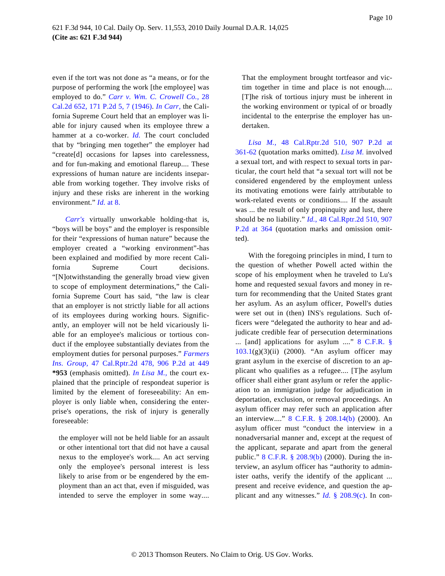even if the tort was not done as "a means, or for the purpose of performing the work [the employee] was employed to do." *[Carr v. Wm. C. Crowell Co.,](http://www.westlaw.com/Find/Default.wl?rs=dfa1.0&vr=2.0&DB=661&FindType=Y&ReferencePositionType=S&SerialNum=1946111202&ReferencePosition=7)* 28 [Cal.2d 652, 171 P.2d 5, 7 \(1946](http://www.westlaw.com/Find/Default.wl?rs=dfa1.0&vr=2.0&DB=661&FindType=Y&ReferencePositionType=S&SerialNum=1946111202&ReferencePosition=7)). *[In Carr](http://www.westlaw.com/Find/Default.wl?rs=dfa1.0&vr=2.0&FindType=Y&SerialNum=1946111202),* the California Supreme Court held that an employer was liable for injury caused when its employee threw a hammer at a co-worker. *[Id.](http://www.westlaw.com/Find/Default.wl?rs=dfa1.0&vr=2.0&FindType=Y&SerialNum=1946111202)* The court concluded that by "bringing men together" the employer had "create[d] occasions for lapses into carelessness, and for fun-making and emotional flareup.... These expressions of human nature are incidents inseparable from working together. They involve risks of injury and these risks are inherent in the working environment." *[Id.](http://www.westlaw.com/Find/Default.wl?rs=dfa1.0&vr=2.0&FindType=Y&SerialNum=1946111202)* [at 8](http://www.westlaw.com/Find/Default.wl?rs=dfa1.0&vr=2.0&FindType=Y&SerialNum=1946111202).

*[Carr's](http://www.westlaw.com/Find/Default.wl?rs=dfa1.0&vr=2.0&FindType=Y&SerialNum=1946111202)* virtually unworkable holding-that is, "boys will be boys" and the employer is responsible for their "expressions of human nature" because the employer created a "working environment"-has been explained and modified by more recent California Supreme Court decisions. "[N]otwithstanding the generally broad view given to scope of employment determinations," the California Supreme Court has said, "the law is clear that an employer is not strictly liable for all actions of its employees during working hours. Significantly, an employer will not be held vicariously liable for an employee's malicious or tortious conduct if the employee substantially deviates from the employment duties for personal purposes." *[Farmers](http://www.westlaw.com/Find/Default.wl?rs=dfa1.0&vr=2.0&DB=661&FindType=Y&ReferencePositionType=S&SerialNum=1995240400&ReferencePosition=449) [Ins. Group](http://www.westlaw.com/Find/Default.wl?rs=dfa1.0&vr=2.0&DB=661&FindType=Y&ReferencePositionType=S&SerialNum=1995240400&ReferencePosition=449),* [47 Cal.Rptr.2d 478, 906 P.2d at](http://www.westlaw.com/Find/Default.wl?rs=dfa1.0&vr=2.0&DB=661&FindType=Y&ReferencePositionType=S&SerialNum=1995240400&ReferencePosition=449) 449 **\*953** (emphasis omitted). *[In Lisa M.](http://www.westlaw.com/Find/Default.wl?rs=dfa1.0&vr=2.0&FindType=Y&SerialNum=1995250538),* the court explained that the principle of respondeat superior is limited by the element of foreseeability: An employer is only liable when, considering the enterprise's operations, the risk of injury is generally foreseeable:

the employer will not be held liable for an assault or other intentional tort that did not have a causal nexus to the employee's work.... An act serving only the employee's personal interest is less likely to arise from or be engendered by the employment than an act that, even if misguided, was intended to serve the employer in some way....

That the employment brought tortfeasor and victim together in time and place is not enough.... [T]he risk of tortious injury must be inherent in the working environment or typical of or broadly incidental to the enterprise the employer has undertaken.

*[Lisa M](http://www.westlaw.com/Find/Default.wl?rs=dfa1.0&vr=2.0&DB=661&FindType=Y&ReferencePositionType=S&SerialNum=1995250538&ReferencePosition=361).,* [48 Cal.Rptr.2d 510, 907 P.](http://www.westlaw.com/Find/Default.wl?rs=dfa1.0&vr=2.0&DB=661&FindType=Y&ReferencePositionType=S&SerialNum=1995250538&ReferencePosition=361)2d at [361-62](http://www.westlaw.com/Find/Default.wl?rs=dfa1.0&vr=2.0&DB=661&FindType=Y&ReferencePositionType=S&SerialNum=1995250538&ReferencePosition=361) (quotation marks omitted). *[Lisa M](http://www.westlaw.com/Find/Default.wl?rs=dfa1.0&vr=2.0&FindType=Y&SerialNum=1995250538).* involved a sexual tort, and with respect to sexual torts in particular, the court held that "a sexual tort will not be considered engendered by the employment unless its motivating emotions were fairly attributable to work-related events or conditions.... If the assault was ... the result of only propinquity and lust, there should be no liability." *[Id](http://www.westlaw.com/Find/Default.wl?rs=dfa1.0&vr=2.0&DB=661&FindType=Y&ReferencePositionType=S&SerialNum=1995250538&ReferencePosition=364).*[, 48 Cal.Rptr.2d 510, 907](http://www.westlaw.com/Find/Default.wl?rs=dfa1.0&vr=2.0&DB=661&FindType=Y&ReferencePositionType=S&SerialNum=1995250538&ReferencePosition=364) [P.2d at 36](http://www.westlaw.com/Find/Default.wl?rs=dfa1.0&vr=2.0&DB=661&FindType=Y&ReferencePositionType=S&SerialNum=1995250538&ReferencePosition=364)4 (quotation marks and omission omitted).

With the foregoing principles in mind, I turn to the question of whether Powell acted within the scope of his employment when he traveled to Lu's home and requested sexual favors and money in return for recommending that the United States grant her asylum. As an asylum officer, Powell's duties were set out in (then) INS's regulations. Such officers were "delegated the authority to hear and adjudicate credible fear of persecution determinations ... [and] applications for asylum ...." [8 C.F.R. §](http://www.westlaw.com/Find/Default.wl?rs=dfa1.0&vr=2.0&DB=1000547&DocName=8CFRS103.1&FindType=L) [103.1](http://www.westlaw.com/Find/Default.wl?rs=dfa1.0&vr=2.0&DB=1000547&DocName=8CFRS103.1&FindType=L)(g)(3)(ii) (2000). "An asylum officer may grant asylum in the exercise of discretion to an applicant who qualifies as a refugee.... [T]he asylum officer shall either grant asylum or refer the application to an immigration judge for adjudication in deportation, exclusion, or removal proceedings. An asylum officer may refer such an application after an interview...." [8 C.F.R. § 208.14\(b](http://www.westlaw.com/Find/Default.wl?rs=dfa1.0&vr=2.0&DB=1000547&DocName=8CFRS208.14&FindType=L&ReferencePositionType=T&ReferencePosition=SP_a83b000018c76)) (2000). An asylum officer must "conduct the interview in a nonadversarial manner and, except at the request of the applicant, separate and apart from the general public." [8 C.F.R. § 208.9\(b](http://www.westlaw.com/Find/Default.wl?rs=dfa1.0&vr=2.0&DB=1000547&DocName=8CFRS208.9&FindType=L&ReferencePositionType=T&ReferencePosition=SP_a83b000018c76)) (2000). During the interview, an asylum officer has "authority to administer oaths, verify the identify of the applicant ... present and receive evidence, and question the applicant and any witnesses." *[Id.](http://www.westlaw.com/Find/Default.wl?rs=dfa1.0&vr=2.0&DB=1000547&DocName=8CFRS208.9&FindType=L&ReferencePositionType=T&ReferencePosition=SP_4b24000003ba5)* [§ 208.9\(c](http://www.westlaw.com/Find/Default.wl?rs=dfa1.0&vr=2.0&DB=1000547&DocName=8CFRS208.9&FindType=L&ReferencePositionType=T&ReferencePosition=SP_4b24000003ba5)). In con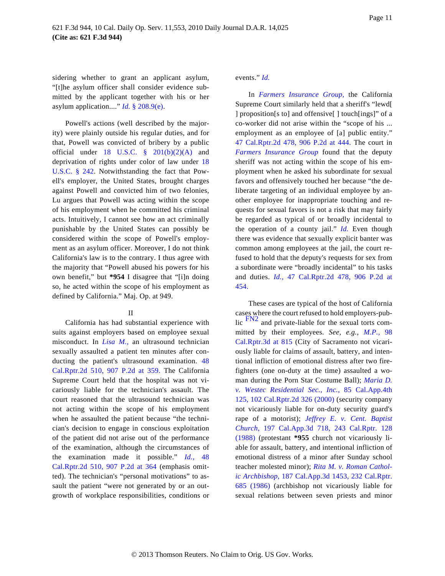sidering whether to grant an applicant asylum, "[t]he asylum officer shall consider evidence submitted by the applicant together with his or her asylum application...." *[Id.](http://www.westlaw.com/Find/Default.wl?rs=dfa1.0&vr=2.0&DB=1000547&DocName=8CFRS208.9&FindType=L&ReferencePositionType=T&ReferencePosition=SP_7fdd00001ca15)* [§ 208.9\(e\)](http://www.westlaw.com/Find/Default.wl?rs=dfa1.0&vr=2.0&DB=1000547&DocName=8CFRS208.9&FindType=L&ReferencePositionType=T&ReferencePosition=SP_7fdd00001ca15).

Powell's actions (well described by the majority) were plainly outside his regular duties, and for that, Powell was convicted of bribery by a public official under 18 U.S.C.  $\frac{8}{9}$  201(b)(2)(A) and deprivation of rights under color of law under [18](http://www.westlaw.com/Find/Default.wl?rs=dfa1.0&vr=2.0&DB=1000546&DocName=18USCAS242&FindType=L) [U.S.C. § 24](http://www.westlaw.com/Find/Default.wl?rs=dfa1.0&vr=2.0&DB=1000546&DocName=18USCAS242&FindType=L)2. Notwithstanding the fact that Powell's employer, the United States, brought charges against Powell and convicted him of two felonies, Lu argues that Powell was acting within the scope of his employment when he committed his criminal acts. Intuitively, I cannot see how an act criminally punishable by the United States can possibly be considered within the scope of Powell's employment as an asylum officer. Moreover, I do not think California's law is to the contrary. I thus agree with the majority that "Powell abused his powers for his own benefit," but **\*954** I disagree that "[i]n doing so, he acted within the scope of his employment as defined by California." Maj. Op. at 949.

### II

<span id="page-10-0"></span>California has had substantial experience with suits against employers based on employee sexual misconduct. In *[Lisa M.](http://www.westlaw.com/Find/Default.wl?rs=dfa1.0&vr=2.0&FindType=Y&SerialNum=1995250538),* an ultrasound technician sexually assaulted a patient ten minutes after conducting the patient's ultrasound examination. [48](http://www.westlaw.com/Find/Default.wl?rs=dfa1.0&vr=2.0&DB=661&FindType=Y&ReferencePositionType=S&SerialNum=1995250538&ReferencePosition=359) [Cal.Rptr.2d 510, 907 P.2d at 35](http://www.westlaw.com/Find/Default.wl?rs=dfa1.0&vr=2.0&DB=661&FindType=Y&ReferencePositionType=S&SerialNum=1995250538&ReferencePosition=359)9. The California Supreme Court held that the hospital was not vicariously liable for the technician's assault. The court reasoned that the ultrasound technician was not acting within the scope of his employment when he assaulted the patient because "the technician's decision to engage in conscious exploitation of the patient did not arise out of the performance of the examination, although the circumstances of the examination made it possible." *[Id.](http://www.westlaw.com/Find/Default.wl?rs=dfa1.0&vr=2.0&DB=661&FindType=Y&ReferencePositionType=S&SerialNum=1995250538&ReferencePosition=364)*[, 4](http://www.westlaw.com/Find/Default.wl?rs=dfa1.0&vr=2.0&DB=661&FindType=Y&ReferencePositionType=S&SerialNum=1995250538&ReferencePosition=364)8 [Cal.Rptr.2d 510, 907 P.2d at 36](http://www.westlaw.com/Find/Default.wl?rs=dfa1.0&vr=2.0&DB=661&FindType=Y&ReferencePositionType=S&SerialNum=1995250538&ReferencePosition=364)4 (emphasis omitted). The technician's "personal motivations" to assault the patient "were not generated by or an outgrowth of workplace responsibilities, conditions or

### events." *[Id.](http://www.westlaw.com/Find/Default.wl?rs=dfa1.0&vr=2.0&FindType=Y&SerialNum=1995250538)*

In *[Farmers Insurance Grou](http://www.westlaw.com/Find/Default.wl?rs=dfa1.0&vr=2.0&FindType=Y&SerialNum=1995240400)p,* the California Supreme Court similarly held that a sheriff's "lewd[ ] proposition[s to] and offensive[ ] touch[ings]" of a co-worker did not arise within the "scope of his ... employment as an employee of [a] public entity." [47 Cal.Rptr.2d 478, 906 P.2d at 44](http://www.westlaw.com/Find/Default.wl?rs=dfa1.0&vr=2.0&DB=661&FindType=Y&ReferencePositionType=S&SerialNum=1995240400&ReferencePosition=444)4. The court in *[Farmers Insurance Grou](http://www.westlaw.com/Find/Default.wl?rs=dfa1.0&vr=2.0&FindType=Y&SerialNum=1995240400)p* found that the deputy sheriff was not acting within the scope of his employment when he asked his subordinate for sexual favors and offensively touched her because "the deliberate targeting of an individual employee by another employee for inappropriate touching and requests for sexual favors is not a risk that may fairly be regarded as typical of or broadly incidental to the operation of a county jail." *[Id](http://www.westlaw.com/Find/Default.wl?rs=dfa1.0&vr=2.0&FindType=Y&SerialNum=1995240400).* Even though there was evidence that sexually explicit banter was common among employees at the jail, the court refused to hold that the deputy's requests for sex from a subordinate were "broadly incidental" to his tasks and duties. *[Id](http://www.westlaw.com/Find/Default.wl?rs=dfa1.0&vr=2.0&DB=661&FindType=Y&ReferencePositionType=S&SerialNum=1995240400&ReferencePosition=454).*[, 47 Cal.Rptr.2d 478, 906 P.2d](http://www.westlaw.com/Find/Default.wl?rs=dfa1.0&vr=2.0&DB=661&FindType=Y&ReferencePositionType=S&SerialNum=1995240400&ReferencePosition=454) at [454.](http://www.westlaw.com/Find/Default.wl?rs=dfa1.0&vr=2.0&DB=661&FindType=Y&ReferencePositionType=S&SerialNum=1995240400&ReferencePosition=454)

These cases are typical of the host of California cases where the court refused to hold employers-public  $F_{N2}$  and private-liable for the sexual torts committed by their employees. *See, e.g., [M.P.,](http://www.westlaw.com/Find/Default.wl?rs=dfa1.0&vr=2.0&DB=7047&FindType=Y&ReferencePositionType=S&SerialNum=2019711247&ReferencePosition=815)* 98 [Cal.Rptr.3d at 815](http://www.westlaw.com/Find/Default.wl?rs=dfa1.0&vr=2.0&DB=7047&FindType=Y&ReferencePositionType=S&SerialNum=2019711247&ReferencePosition=815) (City of Sacramento not vicariously liable for claims of assault, battery, and intentional infliction of emotional distress after two firefighters (one on-duty at the time) assaulted a woman during the Porn Star Costume Ball); *[Maria D.](http://www.westlaw.com/Find/Default.wl?rs=dfa1.0&vr=2.0&DB=3484&FindType=Y&SerialNum=2000629753) [v. Westec Residential Sec., In](http://www.westlaw.com/Find/Default.wl?rs=dfa1.0&vr=2.0&DB=3484&FindType=Y&SerialNum=2000629753)c.,* [85 Cal.App.4t](http://www.westlaw.com/Find/Default.wl?rs=dfa1.0&vr=2.0&DB=3484&FindType=Y&SerialNum=2000629753)h [125, 102 Cal.Rptr.2d 326 \(2000\)](http://www.westlaw.com/Find/Default.wl?rs=dfa1.0&vr=2.0&DB=3484&FindType=Y&SerialNum=2000629753) (security company not vicariously liable for on-duty security guard's rape of a motorist); *[Jeffrey E. v. Cent. Bap](http://www.westlaw.com/Find/Default.wl?rs=dfa1.0&vr=2.0&DB=227&FindType=Y&SerialNum=1988006883)tist [Church,](http://www.westlaw.com/Find/Default.wl?rs=dfa1.0&vr=2.0&DB=227&FindType=Y&SerialNum=1988006883)* [197 Cal.App.3d 718, 243 Cal.Rptr.](http://www.westlaw.com/Find/Default.wl?rs=dfa1.0&vr=2.0&DB=227&FindType=Y&SerialNum=1988006883) 128 [\(1988\)](http://www.westlaw.com/Find/Default.wl?rs=dfa1.0&vr=2.0&DB=227&FindType=Y&SerialNum=1988006883) (protestant **\*955** church not vicariously liable for assault, battery, and intentional infliction of emotional distress of a minor after Sunday school teacher molested minor); *[Rita M. v. Roman Cathol](http://www.westlaw.com/Find/Default.wl?rs=dfa1.0&vr=2.0&DB=227&FindType=Y&SerialNum=1986162515)[ic Archbishop](http://www.westlaw.com/Find/Default.wl?rs=dfa1.0&vr=2.0&DB=227&FindType=Y&SerialNum=1986162515),* [187 Cal.App.3d 1453, 232 Cal.Rptr.](http://www.westlaw.com/Find/Default.wl?rs=dfa1.0&vr=2.0&DB=227&FindType=Y&SerialNum=1986162515) [685 \(1986](http://www.westlaw.com/Find/Default.wl?rs=dfa1.0&vr=2.0&DB=227&FindType=Y&SerialNum=1986162515)) (archbishop not vicariously liable for sexual relations between seven priests and minor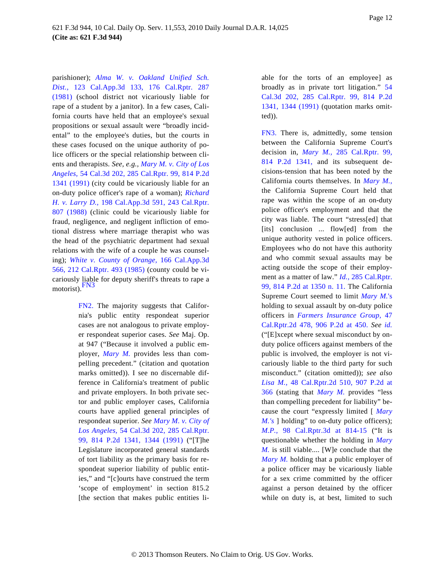<span id="page-11-1"></span>parishioner); *[Alma W. v. Oakland Unified](http://www.westlaw.com/Find/Default.wl?rs=dfa1.0&vr=2.0&DB=227&FindType=Y&SerialNum=1981136908) Sch. [Dist.,](http://www.westlaw.com/Find/Default.wl?rs=dfa1.0&vr=2.0&DB=227&FindType=Y&SerialNum=1981136908)* [123 Cal.App.3d 133, 176 Cal.Rptr](http://www.westlaw.com/Find/Default.wl?rs=dfa1.0&vr=2.0&DB=227&FindType=Y&SerialNum=1981136908). 287 [\(1981\)](http://www.westlaw.com/Find/Default.wl?rs=dfa1.0&vr=2.0&DB=227&FindType=Y&SerialNum=1981136908) (school district not vicariously liable for rape of a student by a janitor). In a few cases, California courts have held that an employee's sexual propositions or sexual assault were "broadly incidental" to the employee's duties, but the courts in these cases focused on the unique authority of police officers or the special relationship between clients and therapists. *See, e.g., [Mary M. v. City of Los](http://www.westlaw.com/Find/Default.wl?rs=dfa1.0&vr=2.0&DB=661&FindType=Y&SerialNum=1991151136) [Angeles,](http://www.westlaw.com/Find/Default.wl?rs=dfa1.0&vr=2.0&DB=661&FindType=Y&SerialNum=1991151136)* [54 Cal.3d 202, 285 Cal.Rptr. 99, 814 P.2d](http://www.westlaw.com/Find/Default.wl?rs=dfa1.0&vr=2.0&DB=661&FindType=Y&SerialNum=1991151136) [1341 \(1991\)](http://www.westlaw.com/Find/Default.wl?rs=dfa1.0&vr=2.0&DB=661&FindType=Y&SerialNum=1991151136) (city could be vicariously liable for an on-duty police officer's rape of a woman); *[Richard](http://www.westlaw.com/Find/Default.wl?rs=dfa1.0&vr=2.0&DB=227&FindType=Y&SerialNum=1988021376) [H. v. Larry D.](http://www.westlaw.com/Find/Default.wl?rs=dfa1.0&vr=2.0&DB=227&FindType=Y&SerialNum=1988021376),* [198 Cal.App.3d 591, 243 Cal.Rptr](http://www.westlaw.com/Find/Default.wl?rs=dfa1.0&vr=2.0&DB=227&FindType=Y&SerialNum=1988021376). [807 \(1988](http://www.westlaw.com/Find/Default.wl?rs=dfa1.0&vr=2.0&DB=227&FindType=Y&SerialNum=1988021376)) (clinic could be vicariously liable for fraud, negligence, and negligent infliction of emotional distress where marriage therapist who was the head of the psychiatric department had sexual relations with the wife of a couple he was counseling); *[White v. County of Orang](http://www.westlaw.com/Find/Default.wl?rs=dfa1.0&vr=2.0&DB=227&FindType=Y&SerialNum=1985118009)e,* [166 Cal.App.3d](http://www.westlaw.com/Find/Default.wl?rs=dfa1.0&vr=2.0&DB=227&FindType=Y&SerialNum=1985118009) [566, 212 Cal.Rptr. 493 \(1985](http://www.westlaw.com/Find/Default.wl?rs=dfa1.0&vr=2.0&DB=227&FindType=Y&SerialNum=1985118009)) (county could be vicariously liable for deputy sheriff's threats to rape a [motorist\).](#page-11-1)<sup>FN3</sup>

> <span id="page-11-2"></span><span id="page-11-0"></span>[FN2.](#page-10-0) The majority suggests that California's public entity respondeat superior cases are not analogous to private employer respondeat superior cases. *See* Maj. Op. at 947 ("Because it involved a public employer, *[Mary M](http://www.westlaw.com/Find/Default.wl?rs=dfa1.0&vr=2.0&FindType=Y&SerialNum=1991151136).* provides less than compelling precedent." (citation and quotation marks omitted)). I see no discernable difference in California's treatment of public and private employers. In both private sector and public employer cases, California courts have applied general principles of respondeat superior. *See [Mary M. v. City of](http://www.westlaw.com/Find/Default.wl?rs=dfa1.0&vr=2.0&DB=661&FindType=Y&ReferencePositionType=S&SerialNum=1991151136&ReferencePosition=1344) [Los Angeles](http://www.westlaw.com/Find/Default.wl?rs=dfa1.0&vr=2.0&DB=661&FindType=Y&ReferencePositionType=S&SerialNum=1991151136&ReferencePosition=1344),* [54 Cal.3d 202, 285 Cal.Rptr](http://www.westlaw.com/Find/Default.wl?rs=dfa1.0&vr=2.0&DB=661&FindType=Y&ReferencePositionType=S&SerialNum=1991151136&ReferencePosition=1344). [99, 814 P.2d 1341, 1344 \(19](http://www.westlaw.com/Find/Default.wl?rs=dfa1.0&vr=2.0&DB=661&FindType=Y&ReferencePositionType=S&SerialNum=1991151136&ReferencePosition=1344)91) ("[T]he Legislature incorporated general standards of tort liability as the primary basis for respondeat superior liability of public entities," and "[c]ourts have construed the term 'scope of employment' in section 815.2 [the section that makes public entities li

able for the torts of an employee] as broadly as in private tort litigation." [54](http://www.westlaw.com/Find/Default.wl?rs=dfa1.0&vr=2.0&DB=661&FindType=Y&ReferencePositionType=S&SerialNum=1991151136&ReferencePosition=1344) [Cal.3d 202, 285 Cal.Rptr. 99, 814](http://www.westlaw.com/Find/Default.wl?rs=dfa1.0&vr=2.0&DB=661&FindType=Y&ReferencePositionType=S&SerialNum=1991151136&ReferencePosition=1344) P.2d [1341, 1344 \(1991](http://www.westlaw.com/Find/Default.wl?rs=dfa1.0&vr=2.0&DB=661&FindType=Y&ReferencePositionType=S&SerialNum=1991151136&ReferencePosition=1344)) (quotation marks omitted)).

[FN3.](#page-11-2) There is, admittedly, some tension between the California Supreme Court's decision in, *[Mary M](http://www.westlaw.com/Find/Default.wl?rs=dfa1.0&vr=2.0&DB=661&FindType=Y&SerialNum=1991151136).,* [285 Cal.Rptr. 9](http://www.westlaw.com/Find/Default.wl?rs=dfa1.0&vr=2.0&DB=661&FindType=Y&SerialNum=1991151136)9, [814 P.2d 134](http://www.westlaw.com/Find/Default.wl?rs=dfa1.0&vr=2.0&DB=661&FindType=Y&SerialNum=1991151136)1, and its subsequent decisions-tension that has been noted by the California courts themselves. In *[Mary M.](http://www.westlaw.com/Find/Default.wl?rs=dfa1.0&vr=2.0&FindType=Y&SerialNum=1991151136),* the California Supreme Court held that rape was within the scope of an on-duty police officer's employment and that the city was liable. The court "stress[ed] that [its] conclusion ... flow[ed] from the unique authority vested in police officers. Employees who do not have this authority and who commit sexual assaults may be acting outside the scope of their employment as a matter of law." *[Id.,](http://www.westlaw.com/Find/Default.wl?rs=dfa1.0&vr=2.0&DB=661&FindType=Y&ReferencePositionType=S&SerialNum=1991151136&ReferencePosition=1350)* [285 Cal.Rptr.](http://www.westlaw.com/Find/Default.wl?rs=dfa1.0&vr=2.0&DB=661&FindType=Y&ReferencePositionType=S&SerialNum=1991151136&ReferencePosition=1350) [99, 814 P.2d at 1350 n. 11](http://www.westlaw.com/Find/Default.wl?rs=dfa1.0&vr=2.0&DB=661&FindType=Y&ReferencePositionType=S&SerialNum=1991151136&ReferencePosition=1350). The California Supreme Court seemed to limit *[Mary M.](http://www.westlaw.com/Find/Default.wl?rs=dfa1.0&vr=2.0&FindType=Y&SerialNum=1991151136)*'s holding to sexual assault by on-duty police officers in *[Farmers Insurance Group,](http://www.westlaw.com/Find/Default.wl?rs=dfa1.0&vr=2.0&DB=661&FindType=Y&ReferencePositionType=S&SerialNum=1995240400&ReferencePosition=450)* 47 [Cal.Rptr.2d 478, 906 P.2d at 45](http://www.westlaw.com/Find/Default.wl?rs=dfa1.0&vr=2.0&DB=661&FindType=Y&ReferencePositionType=S&SerialNum=1995240400&ReferencePosition=450)0. *See [id](http://www.westlaw.com/Find/Default.wl?rs=dfa1.0&vr=2.0&FindType=Y&SerialNum=1995240400).* ("[E]xcept where sexual misconduct by onduty police officers against members of the public is involved, the employer is not vicariously liable to the third party for such misconduct." (citation omitted)); *see also [Lisa M.](http://www.westlaw.com/Find/Default.wl?rs=dfa1.0&vr=2.0&DB=661&FindType=Y&ReferencePositionType=S&SerialNum=1995250538&ReferencePosition=366),* [48 Cal.Rptr.2d 510, 907 P.2d](http://www.westlaw.com/Find/Default.wl?rs=dfa1.0&vr=2.0&DB=661&FindType=Y&ReferencePositionType=S&SerialNum=1995250538&ReferencePosition=366) at [366](http://www.westlaw.com/Find/Default.wl?rs=dfa1.0&vr=2.0&DB=661&FindType=Y&ReferencePositionType=S&SerialNum=1995250538&ReferencePosition=366) (stating that *[Mary M](http://www.westlaw.com/Find/Default.wl?rs=dfa1.0&vr=2.0&FindType=Y&SerialNum=1991151136).* provides "less than compelling precedent for liability" because the court "expressly limited [ *[Mary](http://www.westlaw.com/Find/Default.wl?rs=dfa1.0&vr=2.0&FindType=Y&SerialNum=1991151136) [M.'s](http://www.westlaw.com/Find/Default.wl?rs=dfa1.0&vr=2.0&FindType=Y&SerialNum=1991151136)* ] holding" to on-duty police officers); *[M.P.,](http://www.westlaw.com/Find/Default.wl?rs=dfa1.0&vr=2.0&DB=7047&FindType=Y&ReferencePositionType=S&SerialNum=2019711247&ReferencePosition=814)* [98 Cal.Rptr.3d at 81](http://www.westlaw.com/Find/Default.wl?rs=dfa1.0&vr=2.0&DB=7047&FindType=Y&ReferencePositionType=S&SerialNum=2019711247&ReferencePosition=814)4-15 ("It is questionable whether the holding in *[Mary](http://www.westlaw.com/Find/Default.wl?rs=dfa1.0&vr=2.0&FindType=Y&SerialNum=1991151136) [M.](http://www.westlaw.com/Find/Default.wl?rs=dfa1.0&vr=2.0&FindType=Y&SerialNum=1991151136)* is still viable.... [W]e conclude that the *[Mary M](http://www.westlaw.com/Find/Default.wl?rs=dfa1.0&vr=2.0&FindType=Y&SerialNum=1991151136).* holding that a public employer of a police officer may be vicariously liable for a sex crime committed by the officer against a person detained by the officer while on duty is, at best, limited to such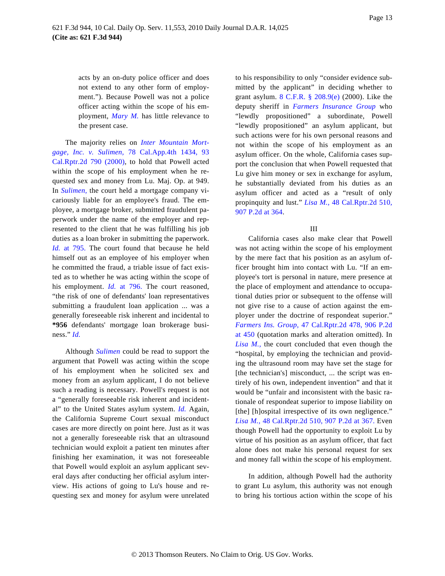acts by an on-duty police officer and does not extend to any other form of employment."). Because Powell was not a police officer acting within the scope of his employment, *[Mary M](http://www.westlaw.com/Find/Default.wl?rs=dfa1.0&vr=2.0&FindType=Y&SerialNum=1991151136).* has little relevance to the present case.

The majority relies on *[Inter Mountain Mort](http://www.westlaw.com/Find/Default.wl?rs=dfa1.0&vr=2.0&DB=3484&FindType=Y&SerialNum=2000076119)[gage, Inc. v. Sulime](http://www.westlaw.com/Find/Default.wl?rs=dfa1.0&vr=2.0&DB=3484&FindType=Y&SerialNum=2000076119)n,* [78 Cal.App.4th 1434,](http://www.westlaw.com/Find/Default.wl?rs=dfa1.0&vr=2.0&DB=3484&FindType=Y&SerialNum=2000076119) 93 [Cal.Rptr.2d 790 \(2000](http://www.westlaw.com/Find/Default.wl?rs=dfa1.0&vr=2.0&DB=3484&FindType=Y&SerialNum=2000076119)), to hold that Powell acted within the scope of his employment when he requested sex and money from Lu. Maj. Op. at 949. In *[Sulimen](http://www.westlaw.com/Find/Default.wl?rs=dfa1.0&vr=2.0&FindType=Y&SerialNum=2000076119),* the court held a mortgage company vicariously liable for an employee's fraud. The employee, a mortgage broker, submitted fraudulent paperwork under the name of the employer and represented to the client that he was fulfilling his job duties as a loan broker in submitting the paperwork. *[Id.](http://www.westlaw.com/Find/Default.wl?rs=dfa1.0&vr=2.0&FindType=Y&SerialNum=2000076119)* [at 795](http://www.westlaw.com/Find/Default.wl?rs=dfa1.0&vr=2.0&FindType=Y&SerialNum=2000076119). The court found that because he held himself out as an employee of his employer when he committed the fraud, a triable issue of fact existed as to whether he was acting within the scope of his employment. *[Id](http://www.westlaw.com/Find/Default.wl?rs=dfa1.0&vr=2.0&FindType=Y&SerialNum=2000076119).* [at 79](http://www.westlaw.com/Find/Default.wl?rs=dfa1.0&vr=2.0&FindType=Y&SerialNum=2000076119)6. The court reasoned, "the risk of one of defendants' loan representatives submitting a fraudulent loan application ... was a generally foreseeable risk inherent and incidental to **\*956** defendants' mortgage loan brokerage business." *[Id](http://www.westlaw.com/Find/Default.wl?rs=dfa1.0&vr=2.0&FindType=Y&SerialNum=2000076119).*

Although *[Sulimen](http://www.westlaw.com/Find/Default.wl?rs=dfa1.0&vr=2.0&FindType=Y&SerialNum=2000076119)* could be read to support the argument that Powell was acting within the scope of his employment when he solicited sex and money from an asylum applicant, I do not believe such a reading is necessary. Powell's request is not a "generally foreseeable risk inherent and incidental" to the United States asylum system. *[Id.](http://www.westlaw.com/Find/Default.wl?rs=dfa1.0&vr=2.0&FindType=Y&SerialNum=2000076119)* Again, the California Supreme Court sexual misconduct cases are more directly on point here. Just as it was not a generally foreseeable risk that an ultrasound technician would exploit a patient ten minutes after finishing her examination, it was not foreseeable that Powell would exploit an asylum applicant several days after conducting her official asylum interview. His actions of going to Lu's house and requesting sex and money for asylum were unrelated to his responsibility to only "consider evidence submitted by the applicant" in deciding whether to grant asylum. [8 C.F.R. § 208.9\(e](http://www.westlaw.com/Find/Default.wl?rs=dfa1.0&vr=2.0&DB=1000547&DocName=8CFRS208.9&FindType=L&ReferencePositionType=T&ReferencePosition=SP_7fdd00001ca15)) (2000). Like the deputy sheriff in *[Farmers Insurance Grou](http://www.westlaw.com/Find/Default.wl?rs=dfa1.0&vr=2.0&FindType=Y&SerialNum=1995240400)p* who "lewdly propositioned" a subordinate, Powell "lewdly propositioned" an asylum applicant, but such actions were for his own personal reasons and not within the scope of his employment as an asylum officer. On the whole, California cases support the conclusion that when Powell requested that Lu give him money or sex in exchange for asylum, he substantially deviated from his duties as an asylum officer and acted as a "result of only propinquity and lust." *[Lisa M.](http://www.westlaw.com/Find/Default.wl?rs=dfa1.0&vr=2.0&DB=661&FindType=Y&ReferencePositionType=S&SerialNum=1995250538&ReferencePosition=364),* [48 Cal.Rptr.2d 510,](http://www.westlaw.com/Find/Default.wl?rs=dfa1.0&vr=2.0&DB=661&FindType=Y&ReferencePositionType=S&SerialNum=1995250538&ReferencePosition=364) [907 P.2d at 364](http://www.westlaw.com/Find/Default.wl?rs=dfa1.0&vr=2.0&DB=661&FindType=Y&ReferencePositionType=S&SerialNum=1995250538&ReferencePosition=364).

### III

California cases also make clear that Powell was not acting within the scope of his employment by the mere fact that his position as an asylum officer brought him into contact with Lu. "If an employee's tort is personal in nature, mere presence at the place of employment and attendance to occupational duties prior or subsequent to the offense will not give rise to a cause of action against the employer under the doctrine of respondeat superior." *[Farmers Ins. Group](http://www.westlaw.com/Find/Default.wl?rs=dfa1.0&vr=2.0&DB=661&FindType=Y&ReferencePositionType=S&SerialNum=1995240400&ReferencePosition=450),* [47 Cal.Rptr.2d 478, 906 P.2d](http://www.westlaw.com/Find/Default.wl?rs=dfa1.0&vr=2.0&DB=661&FindType=Y&ReferencePositionType=S&SerialNum=1995240400&ReferencePosition=450) [at 450](http://www.westlaw.com/Find/Default.wl?rs=dfa1.0&vr=2.0&DB=661&FindType=Y&ReferencePositionType=S&SerialNum=1995240400&ReferencePosition=450) (quotation marks and alteration omitted). In *[Lisa M.](http://www.westlaw.com/Find/Default.wl?rs=dfa1.0&vr=2.0&FindType=Y&SerialNum=1995250538),* the court concluded that even though the "hospital, by employing the technician and providing the ultrasound room may have set the stage for [the technician's] misconduct, ... the script was entirely of his own, independent invention" and that it would be "unfair and inconsistent with the basic rationale of respondeat superior to impose liability on [the] [h]ospital irrespective of its own negligence." *[Lisa M.,](http://www.westlaw.com/Find/Default.wl?rs=dfa1.0&vr=2.0&DB=661&FindType=Y&ReferencePositionType=S&SerialNum=1995250538&ReferencePosition=367)* [48 Cal.Rptr.2d 510, 907 P.2d at 367](http://www.westlaw.com/Find/Default.wl?rs=dfa1.0&vr=2.0&DB=661&FindType=Y&ReferencePositionType=S&SerialNum=1995250538&ReferencePosition=367). Even though Powell had the opportunity to exploit Lu by virtue of his position as an asylum officer, that fact alone does not make his personal request for sex and money fall within the scope of his employment.

In addition, although Powell had the authority to grant Lu asylum, this authority was not enough to bring his tortious action within the scope of his